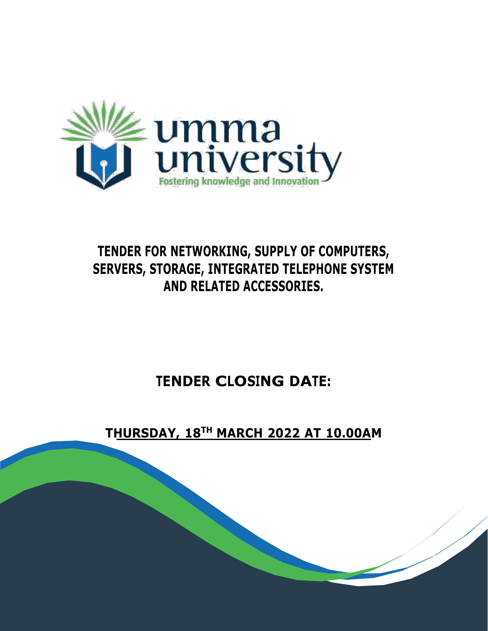

# **TENDER FOR NETWORKING, SUPPLY OF COMPUTERS, SERVERS, STORAGE, INTEGRATED TELEPHONE SYSTEM AND RELATED ACCESSORIES.**

# **TENDER CLOSING DATE:**

## **THURSDAY, 18TH MARCH 2022 AT 10.00AM**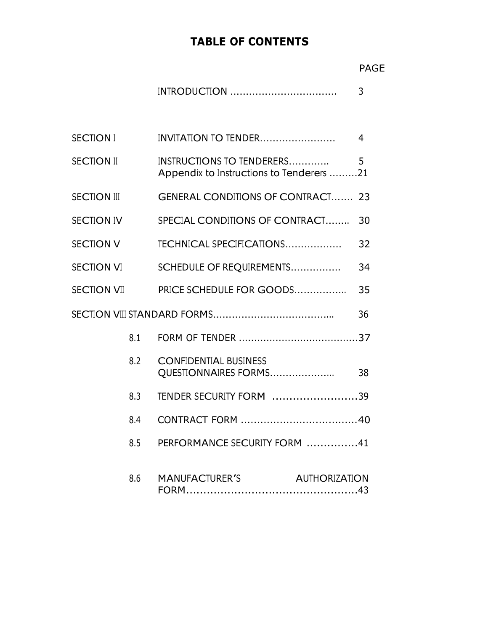## **TABLE OF CONTENTS**

|                    |     |                                                                       | <b>PAGE</b> |
|--------------------|-----|-----------------------------------------------------------------------|-------------|
|                    |     |                                                                       | 3           |
| <b>SECTION I</b>   |     | INVITATION TO TENDER                                                  | 4           |
| <b>SECTION II</b>  |     | INSTRUCTIONS TO TENDERERS<br>Appendix to Instructions to Tenderers 21 | 5           |
| <b>SECTION III</b> |     | <b>GENERAL CONDITIONS OF CONTRACT</b>                                 | 23          |
| <b>SECTION IV</b>  |     | SPECIAL CONDITIONS OF CONTRACT                                        | 30          |
| <b>SECTION V</b>   |     | TECHNICAL SPECIFICATIONS                                              | 32          |
| SECTION VI         |     | SCHEDULE OF REQUIREMENTS                                              | 34          |
| <b>SECTION VII</b> |     | PRICE SCHEDULE FOR GOODS                                              | 35          |
|                    |     |                                                                       | 36          |
|                    | 8.1 |                                                                       |             |
|                    | 8.2 | <b>CONFIDENTIAL BUSINESS</b><br>QUESTIONNAIRES FORMS                  | 38          |
|                    | 8.3 | TENDER SECURITY FORM 39                                               |             |
|                    |     |                                                                       |             |
|                    | 8.5 | PERFORMANCE SECURITY FORM 41                                          |             |
|                    | 8.6 | <b>MANUFACTURER'S</b><br><b>AUTHORIZATION</b>                         |             |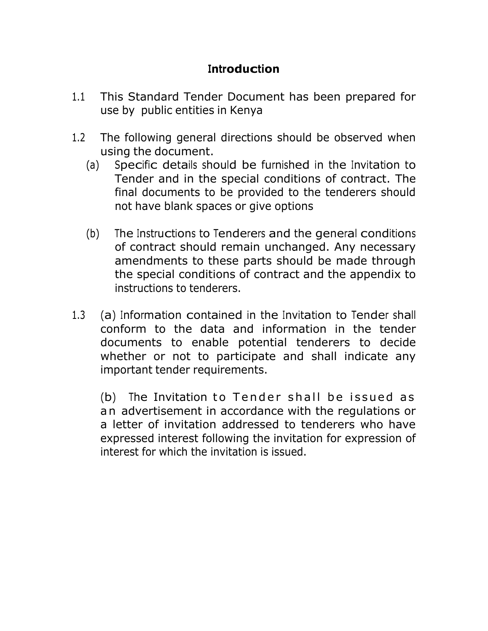## **Introduction**

- 1.1 This Standard Tender Document has been prepared for use by public entities in Kenya
- 1.2 The following general directions should be observed when using the document.
	- (a) Specific details should be furnished in the Invitation to Tender and in the special conditions of contract. The final documents to be provided to the tenderers should not have blank spaces or give options
	- (b) The Instructions to Tenderers and the general conditions of contract should remain unchanged. Any necessary amendments to these parts should be made through the special conditions of contract and the appendix to instructions to tenderers.
- 1.3 (a) Information contained in the Invitation to Tender shall conform to the data and information in the tender documents to enable potential tenderers to decide whether or not to participate and shall indicate any important tender requirements.

(b) The Invitation to Tender shall be issued as an advertisement in accordance with the regulations or a letter of invitation addressed to tenderers who have expressed interest following the invitation for expression of interest for which the invitation is issued.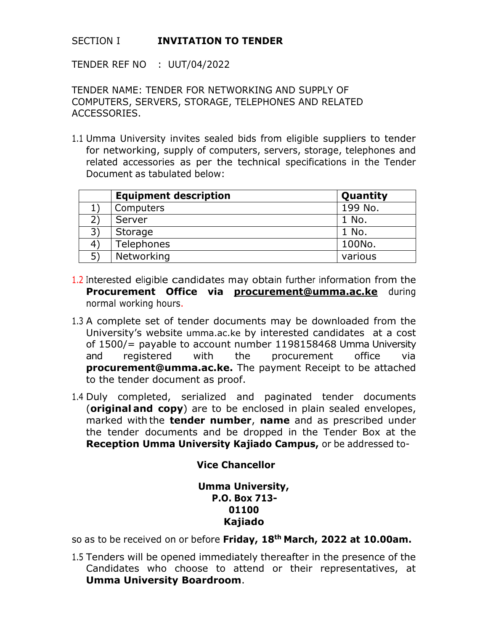#### SECTION I **INVITATION TO TENDER**

TENDER REF NO : UUT/04/2022

TENDER NAME: TENDER FOR NETWORKING AND SUPPLY OF COMPUTERS, SERVERS, STORAGE, TELEPHONES AND RELATED ACCESSORIES.

1.1 Umma University invites sealed bids from eligible suppliers to tender for networking, supply of computers, servers, storage, telephones and related accessories as per the technical specifications in the Tender Document as tabulated below:

|    | <b>Equipment description</b> | Quantity |
|----|------------------------------|----------|
|    | Computers                    | 199 No.  |
|    | Server                       | 1 No.    |
| 3) | Storage                      | 1 No.    |
| 4) | Telephones                   | 100No.   |
| 5) | Networking                   | various  |

- 1.2 Interested eligible candidates may obtain further information from the **Procurement Office via [procurement@umma.ac.ke](mailto:procurement@umma.ac.ke)** during normal working hours.
- 1.3 A complete set of tender documents may be downloaded from the University's website umma.ac.ke by interested candidates at a cost of 1500/= payable to account number 1198158468 Umma University and registered with the procurement office via **[procurement@umma.ac.ke.](mailto:procurement@umma.ac.ke)** The payment Receipt to be attached to the tender document as proof.
- 1.4 Duly completed, serialized and paginated tender documents (**original and copy**) are to be enclosed in plain sealed envelopes, marked with the **tender number**, **name** and as prescribed under the tender documents and be dropped in the Tender Box at the **Reception Umma University Kajiado Campus,** or be addressed to-

#### **Vice Chancellor**

#### **Umma University, P.O. Box 713- 01100 Kajiado**

so as to be received on or before **Friday, 18th March, 2022 at 10.00am.**

1.5 Tenders will be opened immediately thereafter in the presence of the Candidates who choose to attend or their representatives, at **Umma University Boardroom**.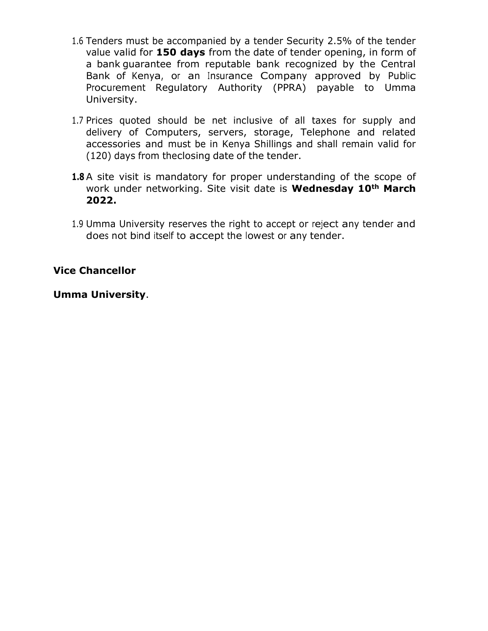- 1.6 Tenders must be accompanied by a tender Security 2.5% of the tender value valid for **150 days** from the date of tender opening, in form of a bank guarantee from reputable bank recognized by the Central Bank of Kenya, or an Insurance Company approved by Public Procurement Regulatory Authority (PPRA) payable to Umma University.
- 1.7 Prices quoted should be net inclusive of all taxes for supply and delivery of Computers, servers, storage, Telephone and related accessories and must be in Kenya Shillings and shall remain valid for (120) days from the closing date of the tender.
- **1.8** A site visit is mandatory for proper understanding of the scope of work under networking. Site visit date is **Wednesday 10th March 2022.**
- 1.9 Umma University reserves the right to accept or reject any tender and does not bind itself to accept the lowest or any tender.

#### **Vice Chancellor**

#### **Umma University**.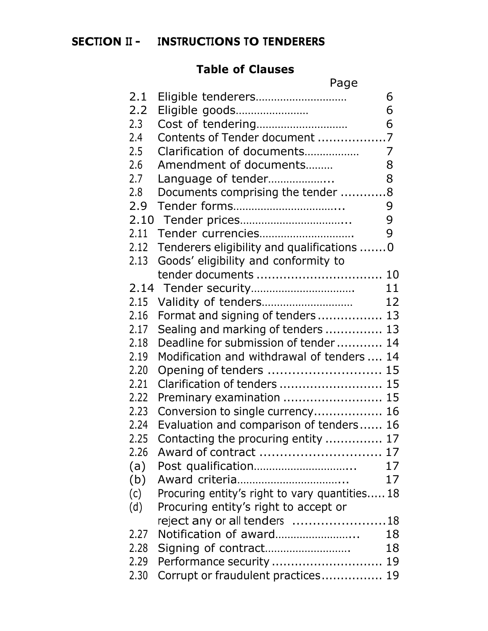## **SECTION II - INSTRUCTIONS TO TENDERERS**

## **Table of Clauses**

|                  | Page                                           |    |
|------------------|------------------------------------------------|----|
| 2.1              | Eligible tenderers                             | 6  |
| 2.2 <sub>2</sub> | Eligible goods                                 | 6  |
| 2.3              |                                                | 6  |
| 2.4              | Contents of Tender document 7                  |    |
| 2.5              | Clarification of documents                     | 7  |
| 2.6              | Amendment of documents                         | 8  |
| 2.7              | Language of tender                             | 8  |
| 2.8              | Documents comprising the tender 8              |    |
| 2.9              |                                                | 9  |
|                  |                                                | 9  |
| 2.11             | Tender currencies                              | 9  |
| 2.12             | Tenderers eligibility and qualifications 0     |    |
| 2.13             | Goods' eligibility and conformity to           |    |
|                  |                                                |    |
|                  |                                                | 11 |
| 2.15             |                                                | 12 |
| 2.16             | Format and signing of tenders 13               |    |
| 2.17             | Sealing and marking of tenders  13             |    |
| 2.18             | Deadline for submission of tender              | 14 |
| 2.19             | Modification and withdrawal of tenders         | 14 |
| 2.20             | Opening of tenders  15                         |    |
| 2.21             | Clarification of tenders  15                   |    |
| 2.22             | Preminary examination  15                      |    |
| 2.23             | Conversion to single currency 16               |    |
| 2.24             | Evaluation and comparison of tenders 16        |    |
| 2.25             | Contacting the procuring entity  17            |    |
| 2.26             | Award of contract  17                          |    |
| (a)              |                                                | 17 |
| (b)              |                                                | 17 |
| (c)              | Procuring entity's right to vary quantities 18 |    |
| (d)              | Procuring entity's right to accept or          |    |
|                  | reject any or all tenders 18                   |    |
| 2.27             | Notification of award                          | 18 |
| 2.28             | Signing of contract                            | 18 |
| 2.29             |                                                |    |
| 2.30             | Corrupt or fraudulent practices 19             |    |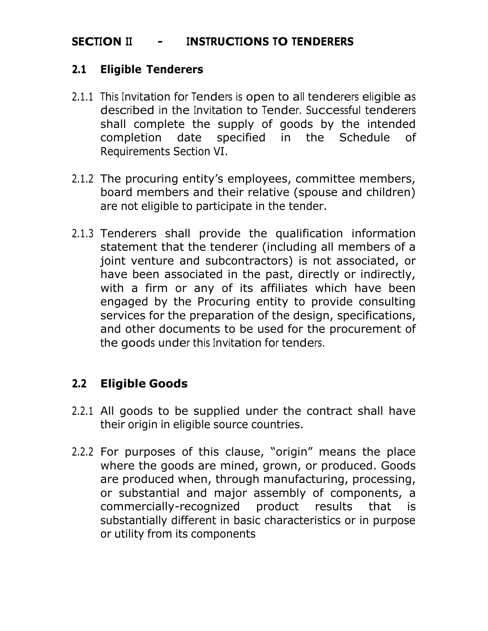## **SECTION II - INSTRUCTIONS TO TENDERERS**

#### <span id="page-6-0"></span>**2.1 Eligible Tenderers**

- 2.1.1 This Invitation for Tenders is open to all tenderers eligible as described in the Invitation to Tender. Successful tenderers shall complete the supply of goods by the intended completion date specified in the Schedule of Requirements Section VI.
- 2.1.2 The procuring entity's employees, committee members, board members and their relative (spouse and children) are not eligible to participate in the tender.
- 2.1.3 Tenderers shall provide the qualification information statement that the tenderer (including all members of a joint venture and subcontractors) is not associated, or have been associated in the past, directly or indirectly, with a firm or any of its affiliates which have been engaged by the Procuring entity to provide consulting services for the preparation of the design, specifications, and other documents to be used for the procurement of the goods under this Invitation for tenders.

## <span id="page-6-1"></span>**2.2 Eligible Goods**

- 2.2.1 All goods to be supplied under the contract shall have their origin in eligible source countries.
- 2.2.2 For purposes of this clause, "origin" means the place where the goods are mined, grown, or produced. Goods are produced when, through manufacturing, processing, or substantial and major assembly of components, a commercially-recognized product results that is substantially different in basic characteristics or in purpose or utility from its components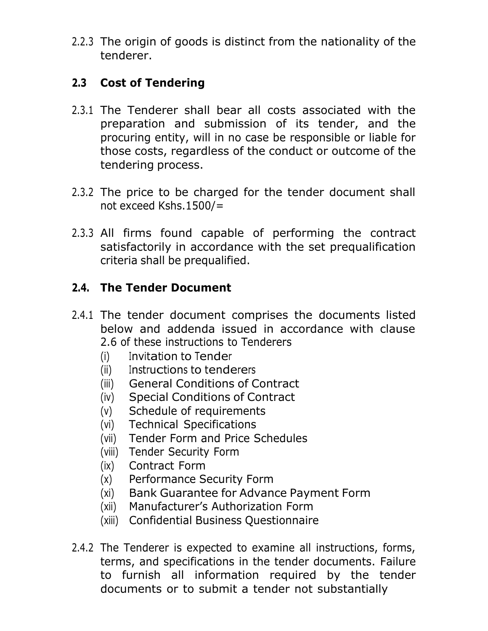2.2.3 The origin of goods is distinct from the nationality of the tenderer.

## <span id="page-7-0"></span>**2.3 Cost of Tendering**

- 2.3.1 The Tenderer shall bear all costs associated with the preparation and submission of its tender, and the procuring entity, will in no case be responsible or liable for those costs, regardless of the conduct or outcome of the tendering process.
- 2.3.2 The price to be charged for the tender document shall not exceed Kshs.1500/=
- 2.3.3 All firms found capable of performing the contract satisfactorily in accordance with the set prequalification criteria shall be prequalified.

## **2.4. The Tender Document**

- 2.4.1 The tender document comprises the documents listed below and addenda issued in accordance with clause 2.6 of these instructions to Tenderers
	- (i) Invitation to Tender
	- (ii) Instructions to tenderers
	- (iii) General Conditions of Contract
	- (iv) Special Conditions of Contract
	- (v) Schedule of requirements
	- (vi) Technical Specifications
	- (vii) Tender Form and Price Schedules
	- (viii) Tender Security Form
	- (ix) Contract Form
	- (x) Performance Security Form
	- (xi) Bank Guarantee for Advance Payment Form
	- (xii) Manufacturer's Authorization Form
	- (xiii) Confidential Business Questionnaire
- 2.4.2 The Tenderer is expected to examine all instructions, forms, terms, and specifications in the tender documents. Failure to furnish all information required by the tender documents or to submit a tender not substantially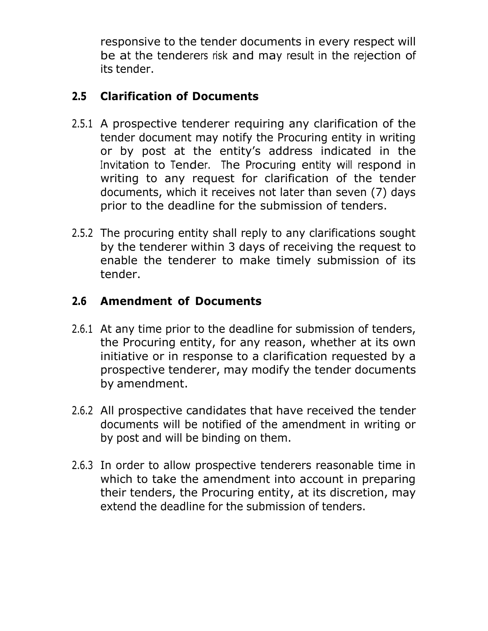responsive to the tender documents in every respect will be at the tenderers risk and may result in the rejection of its tender.

## <span id="page-8-0"></span>**2.5 Clarification of Documents**

- 2.5.1 A prospective tenderer requiring any clarification of the tender document may notify the Procuring entity in writing or by post at the entity's address indicated in the Invitation to Tender. The Procuring entity will respond in writing to any request for clarification of the tender documents, which it receives not later than seven (7) days prior to the deadline for the submission of tenders.
- 2.5.2 The procuring entity shall reply to any clarifications sought by the tenderer within 3 days of receiving the request to enable the tenderer to make timely submission of its tender.

## <span id="page-8-1"></span>**2.6 Amendment of Documents**

- 2.6.1 At any time prior to the deadline for submission of tenders, the Procuring entity, for any reason, whether at its own initiative or in response to a clarification requested by a prospective tenderer, may modify the tender documents by amendment.
- 2.6.2 All prospective candidates that have received the tender documents will be notified of the amendment in writing or by post and will be binding on them.
- 2.6.3 In order to allow prospective tenderers reasonable time in which to take the amendment into account in preparing their tenders, the Procuring entity, at its discretion, may extend the deadline for the submission of tenders.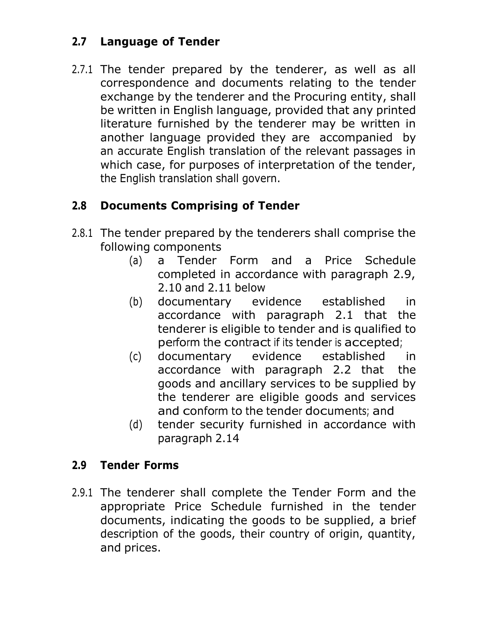## <span id="page-9-0"></span>**2.7 Language of Tender**

2.7.1 The tender prepared by the tenderer, as well as all correspondence and documents relating to the tender exchange by the tenderer and the Procuring entity, shall be written in English language, provided that any printed literature furnished by the tenderer may be written in another language provided they are accompanied by an accurate English translation of the relevant passages in which case, for purposes of interpretation of the tender, the English translation shall govern.

## **2.8 Documents Comprising of Tender**

- 2.8.1 The tender prepared by the tenderers shall comprise the following components
	- (a) a Tender Form and a Price Schedule completed in accordance with paragraph 2.9, 2.10 and 2.11 below
	- (b) documentary evidence established in accordance with paragraph 2.1 that the tenderer is eligible to tender and is qualified to perform the contract if its tender is accepted;
	- (c) documentary evidence established in accordance with paragraph 2.2 that the goods and ancillary services to be supplied by the tenderer are eligible goods and services and conform to the tender documents; and
	- (d) tender security furnished in accordance with paragraph 2.14

## <span id="page-9-1"></span>**2.9 Tender Forms**

2.9.1 The tenderer shall complete the Tender Form and the appropriate Price Schedule furnished in the tender documents, indicating the goods to be supplied, a brief description of the goods, their country of origin, quantity, and prices.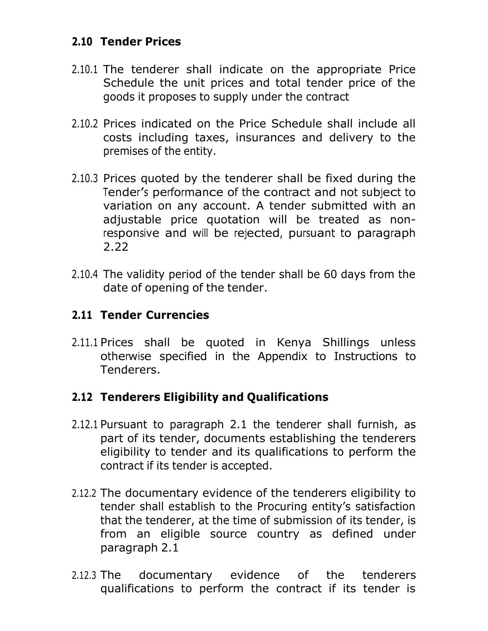## <span id="page-10-0"></span>**2.10 Tender Prices**

- 2.10.1 The tenderer shall indicate on the appropriate Price Schedule the unit prices and total tender price of the goods it proposes to supply under the contract
- 2.10.2 Prices indicated on the Price Schedule shall include all costs including taxes, insurances and delivery to the premises of the entity.
- 2.10.3 Prices quoted by the tenderer shall be fixed during the Tender'<sup>s</sup> performance of the contract and not subject to variation on any account. A tender submitted with an adjustable price quotation will be treated as nonresponsive and will be rejected, pursuant to paragraph 2.22
- 2.10.4 The validity period of the tender shall be 60 days from the date of opening of the tender.

## <span id="page-10-1"></span>**2.11 Tender Currencies**

2.11.1 Prices shall be quoted in Kenya Shillings unless otherwise specified in the Appendix to Instructions to Tenderers.

## **2.12 Tenderers Eligibility and Qualifications**

- 2.12.1 Pursuant to paragraph 2.1 the tenderer shall furnish, as part of its tender, documents establishing the tenderers eligibility to tender and its qualifications to perform the contract if its tender is accepted.
- 2.12.2 The documentary evidence of the tenderers eligibility to tender shall establish to the Procuring entity's satisfaction that the tenderer, at the time of submission of its tender, is from an eligible source country as defined under paragraph 2.1
- 2.12.3 The documentary evidence of the tenderers qualifications to perform the contract if its tender is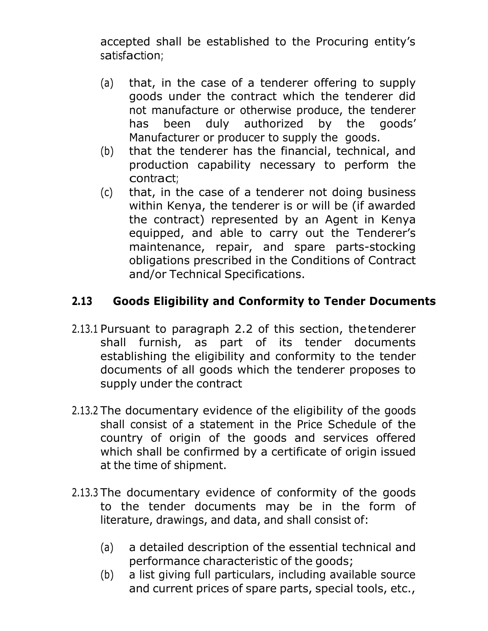accepted shall be established to the Procuring entity's satisfaction;

- (a) that, in the case of a tenderer offering to supply goods under the contract which the tenderer did not manufacture or otherwise produce, the tenderer has been duly authorized by the goods' Manufacturer or producer to supply the goods.
- (b) that the tenderer has the financial, technical, and production capability necessary to perform the contract;
- (c) that, in the case of a tenderer not doing business within Kenya, the tenderer is or will be (if awarded the contract) represented by an Agent in Kenya equipped, and able to carry out the Tenderer's maintenance, repair, and spare parts-stocking obligations prescribed in the Conditions of Contract and/or Technical Specifications.

## **2.13 Goods Eligibility and Conformity to Tender Documents**

- 2.13.1 Pursuant to paragraph 2.2 of this section, thetenderer shall furnish, as part of its tender documents establishing the eligibility and conformity to the tender documents of all goods which the tenderer proposes to supply under the contract
- 2.13.2 The documentary evidence of the eligibility of the goods shall consist of a statement in the Price Schedule of the country of origin of the goods and services offered which shall be confirmed by a certificate of origin issued at the time of shipment.
- 2.13.3 The documentary evidence of conformity of the goods to the tender documents may be in the form of literature, drawings, and data, and shall consist of:
	- (a) a detailed description of the essential technical and performance characteristic of the goods;
	- (b) a list giving full particulars, including available source and current prices of spare parts, special tools, etc.,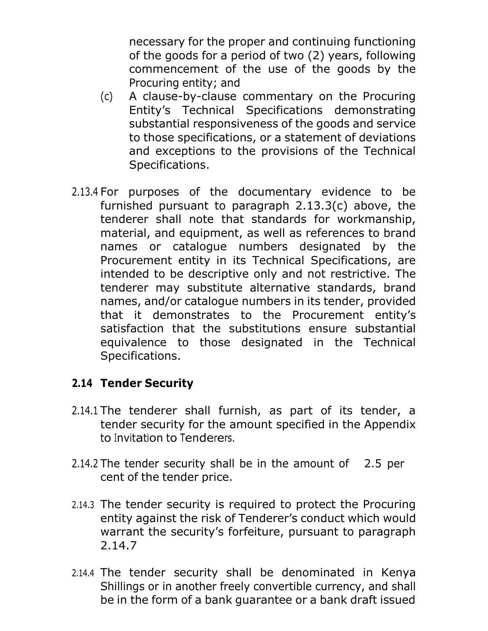necessary for the proper and continuing functioning of the goods for a period of two (2) years, following commencement of the use of the goods by the Procuring entity; and

- (c) A clause-by-clause commentary on the Procuring Entity's Technical Specifications demonstrating substantial responsiveness of the goods and service to those specifications, or a statement of deviations and exceptions to the provisions of the Technical Specifications.
- 2.13.4 For purposes of the documentary evidence to be furnished pursuant to paragraph 2.13.3(c) above, the tenderer shall note that standards for workmanship, material, and equipment, as well as references to brand names or catalogue numbers designated by the Procurement entity in its Technical Specifications, are intended to be descriptive only and not restrictive. The tenderer may substitute alternative standards, brand names, and/or catalogue numbers in its tender, provided that it demonstrates to the Procurement entity's satisfaction that the substitutions ensure substantial equivalence to those designated in the Technical Specifications.

## <span id="page-12-0"></span>**2.14 Tender Security**

- 2.14.1 The tenderer shall furnish, as part of its tender, a tender security for the amount specified in the Appendix to Invitation to Tenderers.
- 2.14.2 The tender security shall be in the amount of 2.5 per cent of the tender price.
- 2.14.3 The tender security is required to protect the Procuring entity against the risk of Tenderer's conduct which would warrant the security's forfeiture, pursuant to paragraph 2.14.7
- 2.14.4 The tender security shall be denominated in Kenya Shillings or in another freely convertible currency, and shall be in the form of a bank guarantee or a bank draft issued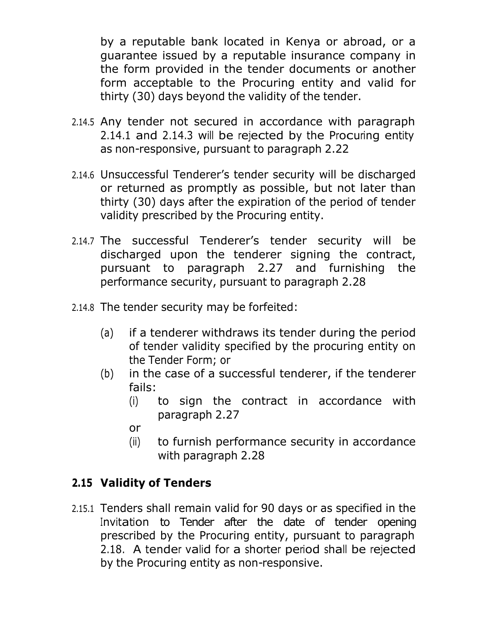by a reputable bank located in Kenya or abroad, or a guarantee issued by a reputable insurance company in the form provided in the tender documents or another form acceptable to the Procuring entity and valid for thirty (30) days beyond the validity of the tender.

- 2.14.5 Any tender not secured in accordance with paragraph 2.14.1 and 2.14.3 will be rejected by the Procuring entity as non-responsive, pursuant to paragraph 2.22
- 2.14.6 Unsuccessful Tenderer's tender security will be discharged or returned as promptly as possible, but not later than thirty (30) days after the expiration of the period of tender validity prescribed by the Procuring entity.
- 2.14.7 The successful Tenderer's tender security will be discharged upon the tenderer signing the contract, pursuant to paragraph 2.27 and furnishing the performance security, pursuant to paragraph 2.28
- 2.14.8 The tender security may be forfeited:
	- (a) if a tenderer withdraws its tender during the period of tender validity specified by the procuring entity on the Tender Form; or
	- (b) in the case of a successful tenderer, if the tenderer fails:
		- (i) to sign the contract in accordance with paragraph 2.27
		- or
		- (ii) to furnish performance security in accordance with paragraph 2.28

## <span id="page-13-0"></span>**2.15 Validity of Tenders**

2.15.1 Tenders shall remain valid for 90 days or as specified in the Invitation to Tender after the date of tender opening prescribed by the Procuring entity, pursuant to paragraph 2.18. A tender valid for a shorter period shall be rejected by the Procuring entity as non-responsive.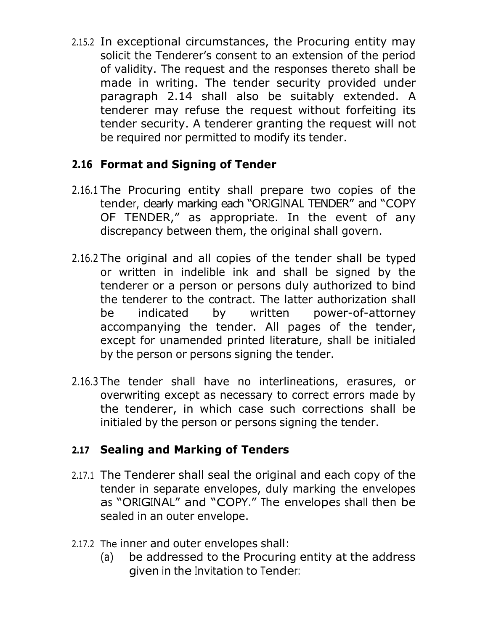2.15.2 In exceptional circumstances, the Procuring entity may solicit the Tenderer's consent to an extension of the period of validity. The request and the responses thereto shall be made in writing. The tender security provided under paragraph 2.14 shall also be suitably extended. A tenderer may refuse the request without forfeiting its tender security. A tenderer granting the request will not be required nor permitted to modify its tender.

## **2.16 Format and Signing of Tender**

- 2.16.1 The Procuring entity shall prepare two copies of the tender, clearly marking each "ORIGINAL TENDER" and "COPY OF TENDER," as appropriate. In the event of any discrepancy between them, the original shall govern.
- 2.16.2 The original and all copies of the tender shall be typed or written in indelible ink and shall be signed by the tenderer or a person or persons duly authorized to bind the tenderer to the contract. The latter authorization shall be indicated by written power-of-attorney accompanying the tender. All pages of the tender, except for unamended printed literature, shall be initialed by the person or persons signing the tender.
- 2.16.3 The tender shall have no interlineations, erasures, or overwriting except as necessary to correct errors made by the tenderer, in which case such corrections shall be initialed by the person or persons signing the tender.

## <span id="page-14-0"></span>**2.17 Sealing and Marking of Tenders**

- 2.17.1 The Tenderer shall seal the original and each copy of the tender in separate envelopes, duly marking the envelopes as "ORIGINAL" and "COPY." The envelopes shall then be sealed in an outer envelope.
- 2.17.2 The inner and outer envelopes shall:
	- (a) be addressed to the Procuring entity at the address given in the Invitation to Tender: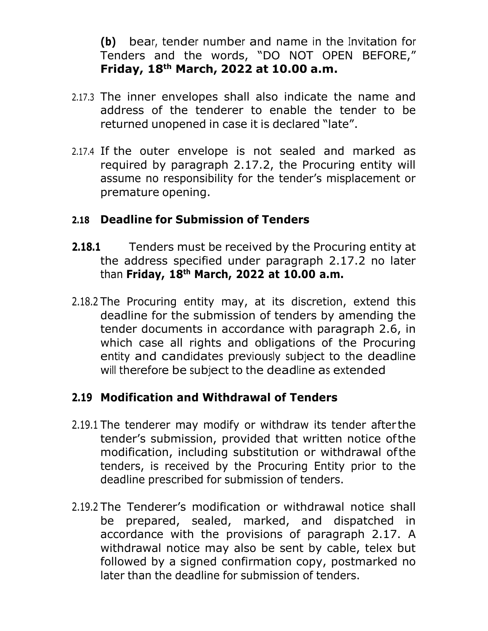**(b)** bear, tender number and name in the Invitation for Tenders and the words, "DO NOT OPEN BEFORE," **Friday, 18 th March, 2022 at 10.00 a.m.**

- 2.17.3 The inner envelopes shall also indicate the name and address of the tenderer to enable the tender to be returned unopened in case it is declared "late".
- 2.17.4 If the outer envelope is not sealed and marked as required by paragraph 2.17.2, the Procuring entity will assume no responsibility for the tender's misplacement or premature opening.

#### **2.18 Deadline for Submission of Tenders**

- **2.18.1** Tenders must be received by the Procuring entity at the address specified under paragraph 2.17.2 no later than **Friday, 18th March, 2022 at 10.00 a.m.**
- 2.18.2 The Procuring entity may, at its discretion, extend this deadline for the submission of tenders by amending the tender documents in accordance with paragraph 2.6, in which case all rights and obligations of the Procuring entity and candidates previously subject to the deadline will therefore be subject to the deadline as extended

## <span id="page-15-0"></span>**2.19 Modification and Withdrawal of Tenders**

- 2.19.1 The tenderer may modify or withdraw its tender after the tender's submission, provided that written notice ofthe modification, including substitution or withdrawal ofthe tenders, is received by the Procuring Entity prior to the deadline prescribed for submission of tenders.
- 2.19.2 The Tenderer's modification or withdrawal notice shall be prepared, sealed, marked, and dispatched in accordance with the provisions of paragraph 2.17. A withdrawal notice may also be sent by cable, telex but followed by a signed confirmation copy, postmarked no later than the deadline for submission of tenders.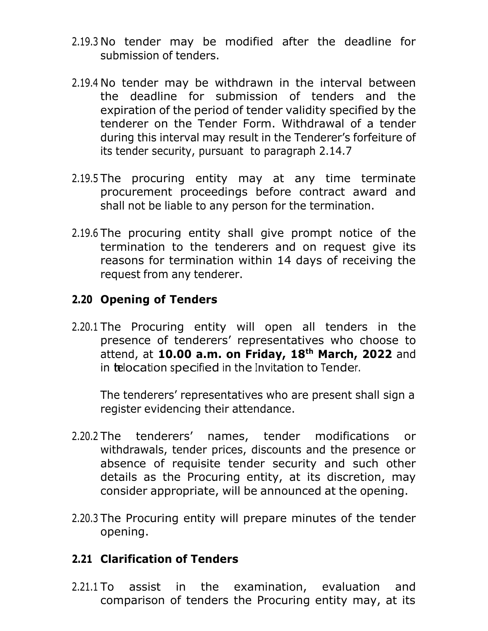- 2.19.3 No tender may be modified after the deadline for submission of tenders.
- 2.19.4 No tender may be withdrawn in the interval between the deadline for submission of tenders and the expiration of the period of tender validity specified by the tenderer on the Tender Form. Withdrawal of a tender during this interval may result in the Tenderer's forfeiture of its tender security, pursuant to paragraph 2.14.7
- 2.19.5 The procuring entity may at any time terminate procurement proceedings before contract award and shall not be liable to any person for the termination.
- 2.19.6 The procuring entity shall give prompt notice of the termination to the tenderers and on request give its reasons for termination within 14 days of receiving the request from any tenderer.

## <span id="page-16-0"></span>**2.20 Opening of Tenders**

2.20.1 The Procuring entity will open all tenders in the presence of tenderers' representatives who choose to attend, at **10.00 a.m. on Friday, 18th March, 2022** and in telocation specified in the Invitation to Tender.

The tenderers' representatives who are present shall sign a register evidencing their attendance.

- 2.20.2 The tenderers' names, tender modifications or withdrawals, tender prices, discounts and the presence or absence of requisite tender security and such other details as the Procuring entity, at its discretion, may consider appropriate, will be announced at the opening.
- 2.20.3 The Procuring entity will prepare minutes of the tender opening.

#### <span id="page-16-1"></span>**2.21 Clarification of Tenders**

2.21.1 To assist in the examination, evaluation and comparison of tenders the Procuring entity may, at its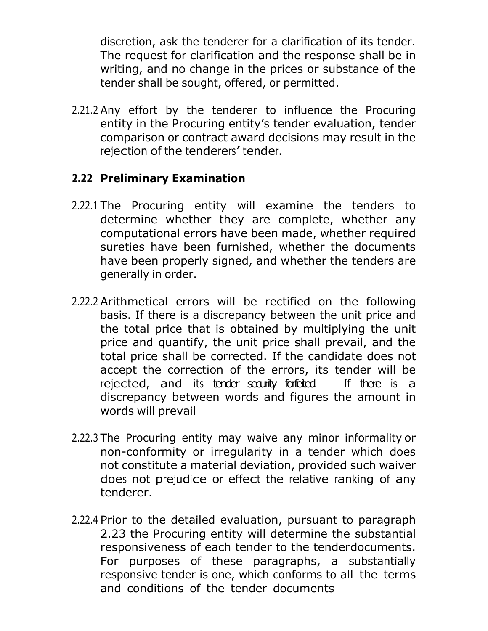discretion, ask the tenderer for a clarification of its tender. The request for clarification and the response shall be in writing, and no change in the prices or substance of the tender shall be sought, offered, or permitted.

2.21.2 Any effort by the tenderer to influence the Procuring entity in the Procuring entity's tender evaluation, tender comparison or contract award decisions may result in the rejection of the tenderers' tender.

## **2.22 Preliminary Examination**

- 2.22.1 The Procuring entity will examine the tenders to determine whether they are complete, whether any computational errors have been made, whether required sureties have been furnished, whether the documents have been properly signed, and whether the tenders are generally in order.
- 2.22.2 Arithmetical errors will be rectified on the following basis. If there is a discrepancy between the unit price and the total price that is obtained by multiplying the unit price and quantify, the unit price shall prevail, and the total price shall be corrected. If the candidate does not accept the correction of the errors, its tender will be rejected, and its tender security forfeited. If there is a discrepancy between words and figures the amount in words will prevail
- 2.22.3 The Procuring entity may waive any minor informality or non-conformity or irregularity in a tender which does not constitute a material deviation, provided such waiver does not prejudice or effect the relative ranking of any tenderer.
- 2.22.4 Prior to the detailed evaluation, pursuant to paragraph 2.23 the Procuring entity will determine the substantial responsiveness of each tender to the tenderdocuments. For purposes of these paragraphs, a substantially responsive tender is one, which conforms to all the terms and conditions of the tender documents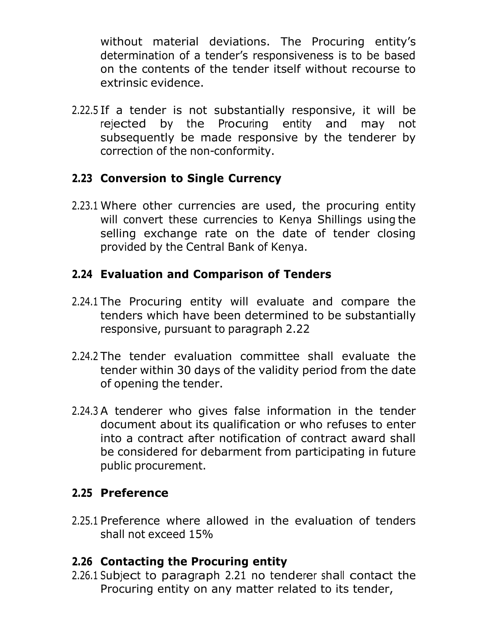without material deviations. The Procuring entity's determination of a tender's responsiveness is to be based on the contents of the tender itself without recourse to extrinsic evidence.

2.22.5 If a tender is not substantially responsive, it will be rejected by the Procuring entity and may not subsequently be made responsive by the tenderer by correction of the non-conformity.

## <span id="page-18-0"></span>**2.23 Conversion to Single Currency**

2.23.1 Where other currencies are used, the procuring entity will convert these currencies to Kenya Shillings using the selling exchange rate on the date of tender closing provided by the Central Bank of Kenya.

## <span id="page-18-1"></span>**2.24 Evaluation and Comparison of Tenders**

- 2.24.1 The Procuring entity will evaluate and compare the tenders which have been determined to be substantially responsive, pursuant to paragraph 2.22
- 2.24.2 The tender evaluation committee shall evaluate the tender within 30 days of the validity period from the date of opening the tender.
- 2.24.3 A tenderer who gives false information in the tender document about its qualification or who refuses to enter into a contract after notification of contract award shall be considered for debarment from participating in future public procurement.

## **2.25 Preference**

2.25.1 Preference where allowed in the evaluation of tenders shall not exceed 15%

## **2.26 Contacting the Procuring entity**

2.26.1 Subject to paragraph 2.21 no tenderer shall contact the Procuring entity on any matter related to its tender,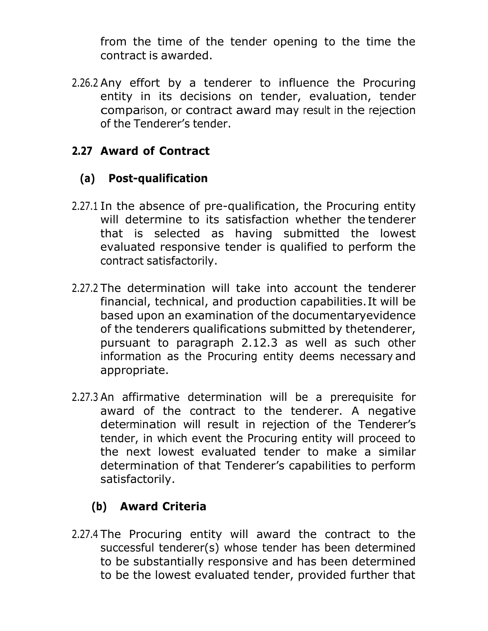from the time of the tender opening to the time the contract is awarded.

2.26.2 Any effort by a tenderer to influence the Procuring entity in its decisions on tender, evaluation, tender comparison, or contract award may result in the rejection of the Tenderer's tender.

## **2.27 Award of Contract**

#### <span id="page-19-0"></span>**(a) Post-qualification**

- 2.27.1 In the absence of pre-qualification, the Procuring entity will determine to its satisfaction whether the tenderer that is selected as having submitted the lowest evaluated responsive tender is qualified to perform the contract satisfactorily.
- 2.27.2 The determination will take into account the tenderer financial, technical, and production capabilities.It will be based upon an examination of the documentaryevidence of the tenderers qualifications submitted by thetenderer, pursuant to paragraph 2.12.3 as well as such other information as the Procuring entity deems necessary and appropriate.
- 2.27.3 An affirmative determination will be a prerequisite for award of the contract to the tenderer. A negative determination will result in rejection of the Tenderer's tender, in which event the Procuring entity will proceed to the next lowest evaluated tender to make a similar determination of that Tenderer's capabilities to perform satisfactorily.

## **(b) Award Criteria**

<span id="page-19-1"></span>2.27.4 The Procuring entity will award the contract to the successful tenderer(s) whose tender has been determined to be substantially responsive and has been determined to be the lowest evaluated tender, provided further that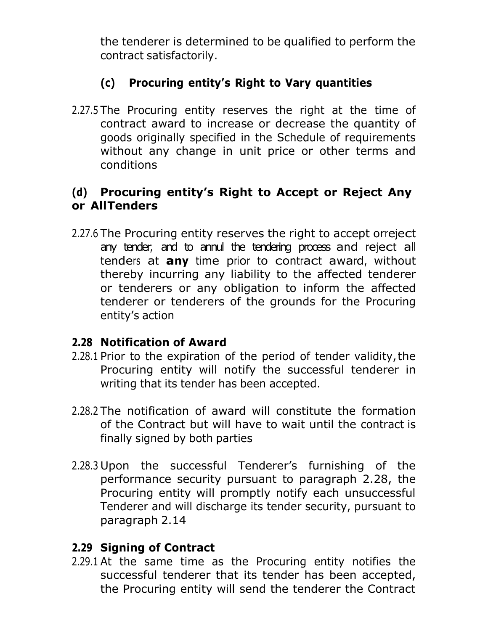the tenderer is determined to be qualified to perform the contract satisfactorily.

## **(c) Procuring entity's Right to Vary quantities**

<span id="page-20-0"></span>2.27.5 The Procuring entity reserves the right at the time of contract award to increase or decrease the quantity of goods originally specified in the Schedule of requirements without any change in unit price or other terms and conditions

## **(d) Procuring entity's Right to Accept or Reject Any or AllTenders**

2.27.6 The Procuring entity reserves the right to accept orreject any tender, and to annul the tendering process and reject all tenders at **any** time prior to contract award, without thereby incurring any liability to the affected tenderer or tenderers or any obligation to inform the affected tenderer or tenderers of the grounds for the Procuring entity's action

## **2.28 Notification of Award**

- 2.28.1 Prior to the expiration of the period of tender validity,the Procuring entity will notify the successful tenderer in writing that its tender has been accepted.
- 2.28.2 The notification of award will constitute the formation of the Contract but will have to wait until the contract is finally signed by both parties
- 2.28.3 Upon the successful Tenderer's furnishing of the performance security pursuant to paragraph 2.28, the Procuring entity will promptly notify each unsuccessful Tenderer and will discharge its tender security, pursuant to paragraph 2.14

## **2.29 Signing of Contract**

2.29.1 At the same time as the Procuring entity notifies the successful tenderer that its tender has been accepted, the Procuring entity will send the tenderer the Contract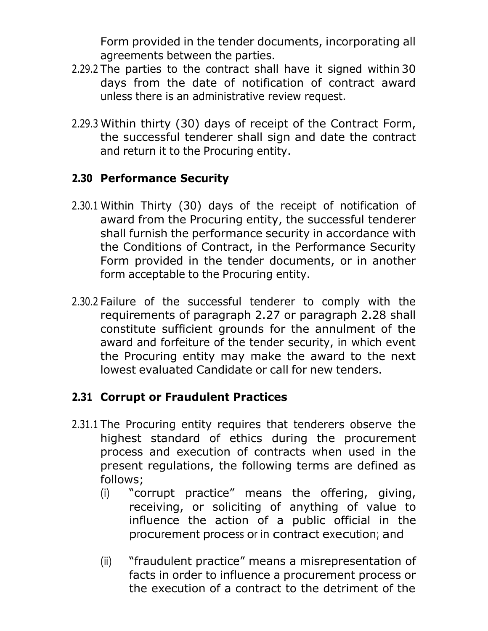Form provided in the tender documents, incorporating all agreements between the parties.

- 2.29.2 The parties to the contract shall have it signed within 30 days from the date of notification of contract award unless there is an administrative review request.
- 2.29.3 Within thirty (30) days of receipt of the Contract Form, the successful tenderer shall sign and date the contract and return it to the Procuring entity.

## **2.30 Performance Security**

- 2.30.1 Within Thirty (30) days of the receipt of notification of award from the Procuring entity, the successful tenderer shall furnish the performance security in accordance with the Conditions of Contract, in the Performance Security Form provided in the tender documents, or in another form acceptable to the Procuring entity.
- 2.30.2 Failure of the successful tenderer to comply with the requirements of paragraph 2.27 or paragraph 2.28 shall constitute sufficient grounds for the annulment of the award and forfeiture of the tender security, in which event the Procuring entity may make the award to the next lowest evaluated Candidate or call for new tenders.

## **2.31 Corrupt or Fraudulent Practices**

- 2.31.1 The Procuring entity requires that tenderers observe the highest standard of ethics during the procurement process and execution of contracts when used in the present regulations, the following terms are defined as follows;
	- (i) "corrupt practice" means the offering, giving, receiving, or soliciting of anything of value to influence the action of a public official in the procurement process or in contract execution; and
	- (ii) "fraudulent practice" means a misrepresentation of facts in order to influence a procurement process or the execution of a contract to the detriment of the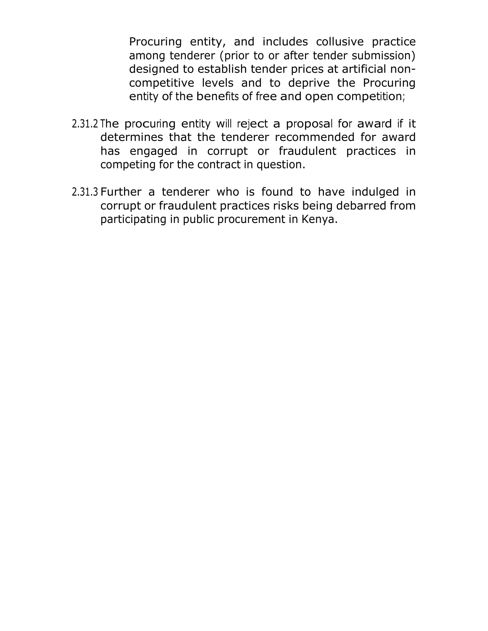Procuring entity, and includes collusive practice among tenderer (prior to or after tender submission) designed to establish tender prices at artificial noncompetitive levels and to deprive the Procuring entity of the benefits of free and open competition;

- 2.31.2 The procuring entity will reject a proposal for award if it determines that the tenderer recommended for award has engaged in corrupt or fraudulent practices in competing for the contract in question.
- 2.31.3 Further a tenderer who is found to have indulged in corrupt or fraudulent practices risks being debarred from participating in public procurement in Kenya.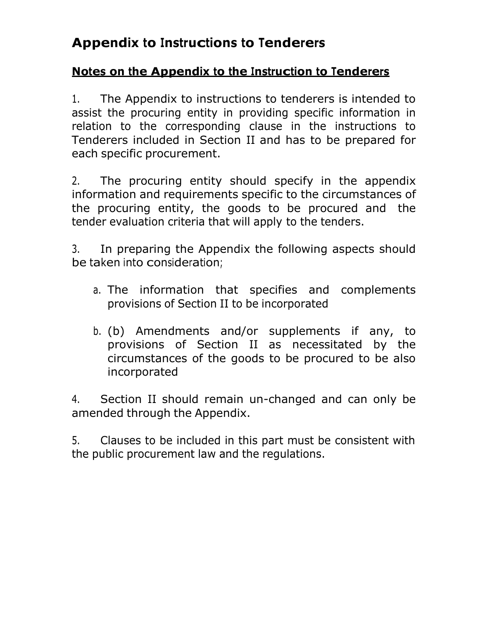# **Appendix to Instructions to Tenderers**

## **Notes on the Appendix to the Instruction to Tenderers**

1. The Appendix to instructions to tenderers is intended to assist the procuring entity in providing specific information in relation to the corresponding clause in the instructions to Tenderers included in Section II and has to be prepared for each specific procurement.

2. The procuring entity should specify in the appendix information and requirements specific to the circumstances of the procuring entity, the goods to be procured and the tender evaluation criteria that will apply to the tenders.

3. In preparing the Appendix the following aspects should be taken into consideration;

- a. The information that specifies and complements provisions of Section II to be incorporated
- b. (b) Amendments and/or supplements if any, to provisions of Section II as necessitated by the circumstances of the goods to be procured to be also incorporated

4. Section II should remain un-changed and can only be amended through the Appendix.

5. Clauses to be included in this part must be consistent with the public procurement law and the regulations.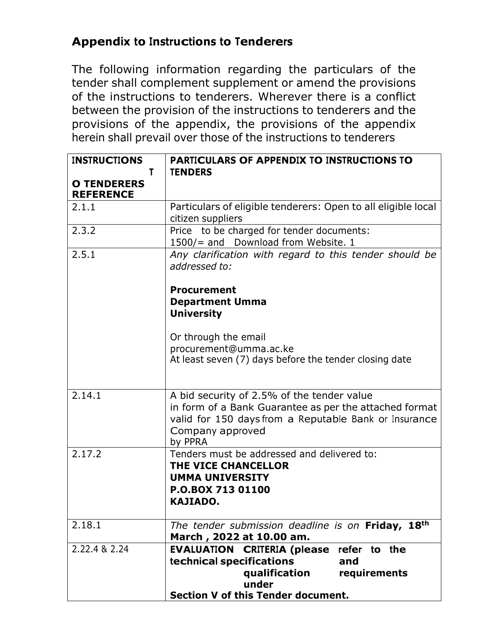## **Appendix to Instructions to Tenderers**

The following information regarding the particulars of the tender shall complement supplement or amend the provisions of the instructions to tenderers. Wherever there is a conflict between the provision of the instructions to tenderers and the provisions of the appendix, the provisions of the appendix herein shall prevail over those of the instructions to tenderers

| <b>INSTRUCTIONS</b><br>T               | <b>PARTICULARS OF APPENDIX TO INSTRUCTIONS TO</b><br><b>TENDERS</b>                                                                                                                          |
|----------------------------------------|----------------------------------------------------------------------------------------------------------------------------------------------------------------------------------------------|
| <b>O TENDERERS</b><br><b>REFERENCE</b> |                                                                                                                                                                                              |
| 2.1.1                                  | Particulars of eligible tenderers: Open to all eligible local<br>citizen suppliers                                                                                                           |
| 2.3.2                                  | Price to be charged for tender documents:<br>1500/= and Download from Website. 1                                                                                                             |
| 2.5.1                                  | Any clarification with regard to this tender should be<br>addressed to:                                                                                                                      |
|                                        | <b>Procurement</b><br><b>Department Umma</b><br><b>University</b>                                                                                                                            |
|                                        | Or through the email<br>procurement@umma.ac.ke<br>At least seven (7) days before the tender closing date                                                                                     |
| 2.14.1                                 | A bid security of 2.5% of the tender value<br>in form of a Bank Guarantee as per the attached format<br>valid for 150 days from a Reputable Bank or Insurance<br>Company approved<br>by PPRA |
| 2.17.2                                 | Tenders must be addressed and delivered to:<br>THE VICE CHANCELLOR<br><b>UMMA UNIVERSITY</b><br>P.O.BOX 713 01100<br><b>KAJIADO.</b>                                                         |
| 2.18.1                                 | The tender submission deadline is on Friday, 18th<br>March, 2022 at 10.00 am.                                                                                                                |
| 2.22.4 & 2.24                          | <b>EVALUATION CRITERIA (please refer to the</b><br>technical specifications<br>and<br>qualification<br>requirements<br>under<br>Section V of this Tender document.                           |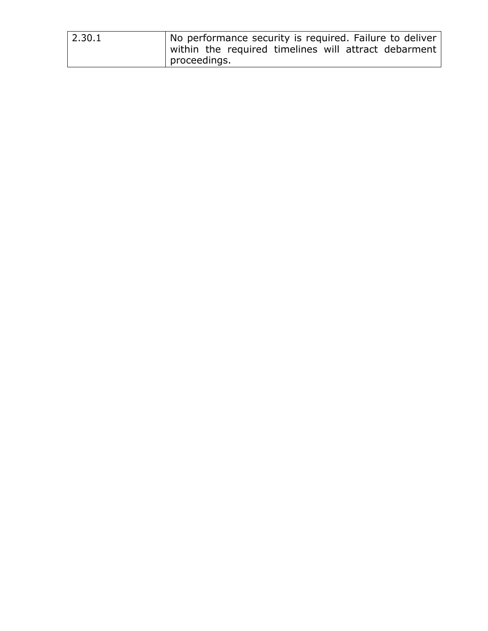| 2.30.1 | No performance security is required. Failure to deliver |
|--------|---------------------------------------------------------|
|        | within the required timelines will attract debarment    |
|        | proceedings.                                            |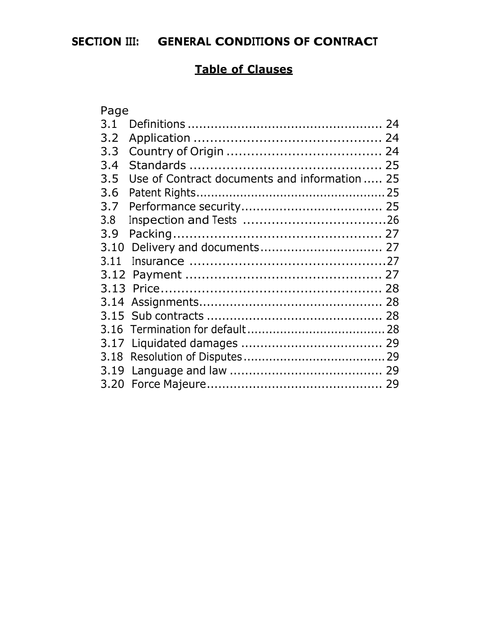## **SECTION III: GENERAL CONDITIONS OF CONTRACT**

## **Table of Clauses**

| Page |                                               |  |
|------|-----------------------------------------------|--|
| 3.1  |                                               |  |
| 3.2  |                                               |  |
| 3.3  |                                               |  |
| 3.4  |                                               |  |
| 3.5  | Use of Contract documents and information  25 |  |
| 3.6  |                                               |  |
| 3.7  |                                               |  |
| 3.8  |                                               |  |
| 3.9  |                                               |  |
| 3.10 |                                               |  |
| 3.11 |                                               |  |
|      |                                               |  |
|      |                                               |  |
| 3.14 |                                               |  |
|      |                                               |  |
|      |                                               |  |
| 3.17 |                                               |  |
| 3.18 |                                               |  |
|      |                                               |  |
|      |                                               |  |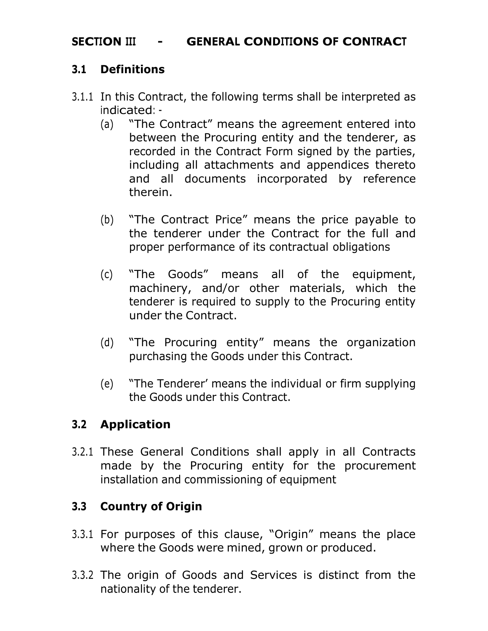## **SECTION III - GENERAL CONDITIONS OF CONTRACT**

## **3.1 Definitions**

- 3.1.1 In this Contract, the following terms shall be interpreted as indicated: -
	- (a) "The Contract" means the agreement entered into between the Procuring entity and the tenderer, as recorded in the Contract Form signed by the parties, including all attachments and appendices thereto and all documents incorporated by reference therein.
	- (b) "The Contract Price" means the price payable to the tenderer under the Contract for the full and proper performance of its contractual obligations
	- (c) "The Goods" means all of the equipment, machinery, and/or other materials, which the tenderer is required to supply to the Procuring entity under the Contract.
	- (d) "The Procuring entity" means the organization purchasing the Goods under this Contract.
	- (e) "The Tenderer' means the individual or firm supplying the Goods under this Contract.

## **3.2 Application**

3.2.1 These General Conditions shall apply in all Contracts made by the Procuring entity for the procurement installation and commissioning of equipment

## **3.3 Country of Origin**

- 3.3.1 For purposes of this clause, "Origin" means the place where the Goods were mined, grown or produced.
- 3.3.2 The origin of Goods and Services is distinct from the nationality of the tenderer.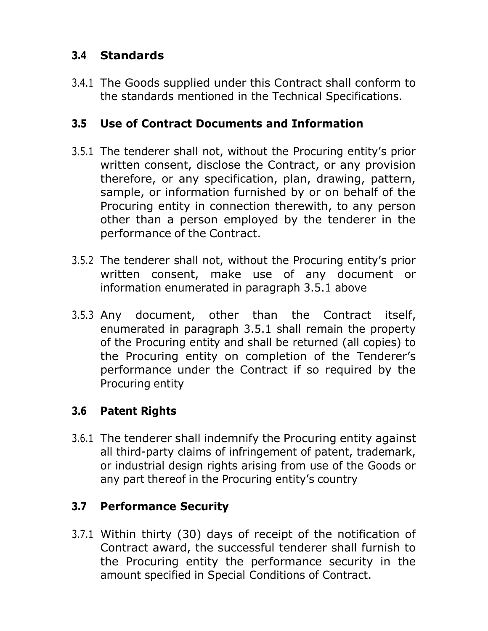## **3.4 Standards**

3.4.1 The Goods supplied under this Contract shall conform to the standards mentioned in the Technical Specifications.

## **3.5 Use of Contract Documents and Information**

- 3.5.1 The tenderer shall not, without the Procuring entity's prior written consent, disclose the Contract, or any provision therefore, or any specification, plan, drawing, pattern, sample, or information furnished by or on behalf of the Procuring entity in connection therewith, to any person other than a person employed by the tenderer in the performance of the Contract.
- 3.5.2 The tenderer shall not, without the Procuring entity's prior written consent, make use of any document or information enumerated in paragraph 3.5.1 above
- 3.5.3 Any document, other than the Contract itself, enumerated in paragraph 3.5.1 shall remain the property of the Procuring entity and shall be returned (all copies) to the Procuring entity on completion of the Tenderer's performance under the Contract if so required by the Procuring entity

## **3.6 Patent Rights**

3.6.1 The tenderer shall indemnify the Procuring entity against all third-party claims of infringement of patent, trademark, or industrial design rights arising from use of the Goods or any part thereof in the Procuring entity's country

## **3.7 Performance Security**

3.7.1 Within thirty (30) days of receipt of the notification of Contract award, the successful tenderer shall furnish to the Procuring entity the performance security in the amount specified in Special Conditions of Contract.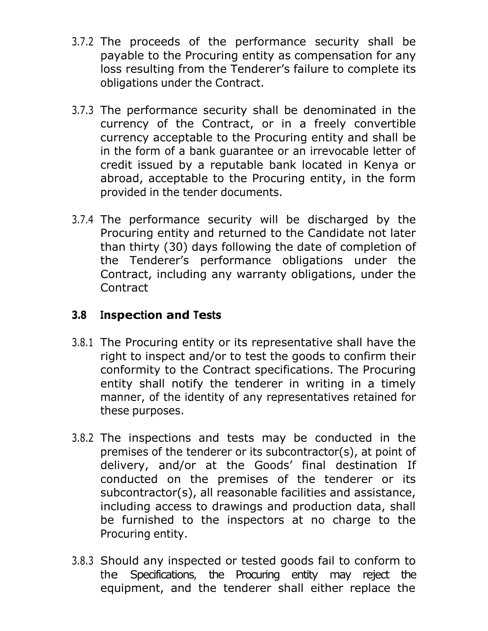- 3.7.2 The proceeds of the performance security shall be payable to the Procuring entity as compensation for any loss resulting from the Tenderer's failure to complete its obligations under the Contract.
- 3.7.3 The performance security shall be denominated in the currency of the Contract, or in a freely convertible currency acceptable to the Procuring entity and shall be in the form of a bank guarantee or an irrevocable letter of credit issued by a reputable bank located in Kenya or abroad, acceptable to the Procuring entity, in the form provided in the tender documents.
- 3.7.4 The performance security will be discharged by the Procuring entity and returned to the Candidate not later than thirty (30) days following the date of completion of the Tenderer's performance obligations under the Contract, including any warranty obligations, under the Contract

## **3.8 Inspection and Tests**

- 3.8.1 The Procuring entity or its representative shall have the right to inspect and/or to test the goods to confirm their conformity to the Contract specifications. The Procuring entity shall notify the tenderer in writing in a timely manner, of the identity of any representatives retained for these purposes.
- 3.8.2 The inspections and tests may be conducted in the premises of the tenderer or its subcontractor(s), at point of delivery, and/or at the Goods' final destination If conducted on the premises of the tenderer or its subcontractor(s), all reasonable facilities and assistance, including access to drawings and production data, shall be furnished to the inspectors at no charge to the Procuring entity.
- 3.8.3 Should any inspected or tested goods fail to conform to the Specifications, the Procuring entity may reject the equipment, and the tenderer shall either replace the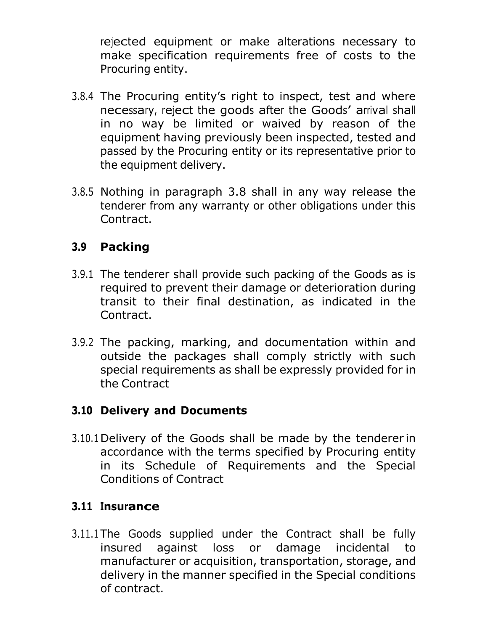rejected equipment or make alterations necessary to make specification requirements free of costs to the Procuring entity.

- 3.8.4 The Procuring entity's right to inspect, test and where necessary, reject the goods after the Goods' arrival shall in no way be limited or waived by reason of the equipment having previously been inspected, tested and passed by the Procuring entity or its representative prior to the equipment delivery.
- 3.8.5 Nothing in paragraph 3.8 shall in any way release the tenderer from any warranty or other obligations under this Contract.

## **3.9 Packing**

- 3.9.1 The tenderer shall provide such packing of the Goods as is required to prevent their damage or deterioration during transit to their final destination, as indicated in the Contract.
- 3.9.2 The packing, marking, and documentation within and outside the packages shall comply strictly with such special requirements as shall be expressly provided for in the Contract

## **3.10 Delivery and Documents**

3.10.1 Delivery of the Goods shall be made by the tenderer in accordance with the terms specified by Procuring entity in its Schedule of Requirements and the Special Conditions of Contract

## **3.11 Insurance**

3.11.1 The Goods supplied under the Contract shall be fully insured against loss or damage incidental to manufacturer or acquisition, transportation, storage, and delivery in the manner specified in the Special conditions of contract.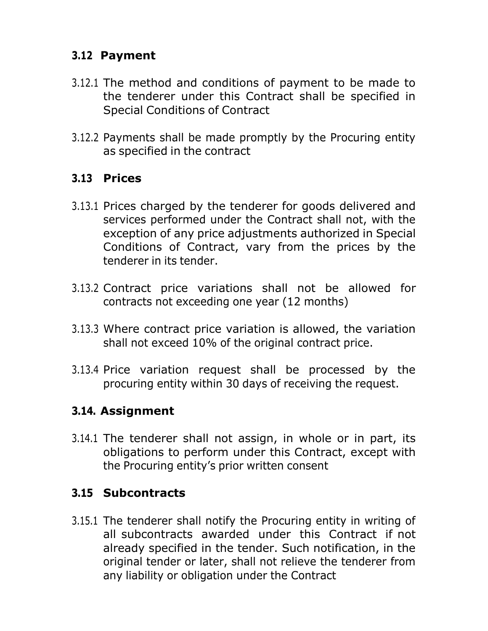## **3.12 Payment**

- 3.12.1 The method and conditions of payment to be made to the tenderer under this Contract shall be specified in Special Conditions of Contract
- 3.12.2 Payments shall be made promptly by the Procuring entity as specified in the contract

## **3.13 Prices**

- 3.13.1 Prices charged by the tenderer for goods delivered and services performed under the Contract shall not, with the exception of any price adjustments authorized in Special Conditions of Contract, vary from the prices by the tenderer in its tender.
- 3.13.2 Contract price variations shall not be allowed for contracts not exceeding one year (12 months)
- 3.13.3 Where contract price variation is allowed, the variation shall not exceed 10% of the original contract price.
- 3.13.4 Price variation request shall be processed by the procuring entity within 30 days of receiving the request.

## **3.14. Assignment**

3.14.1 The tenderer shall not assign, in whole or in part, its obligations to perform under this Contract, except with the Procuring entity's prior written consent

## **3.15 Subcontracts**

3.15.1 The tenderer shall notify the Procuring entity in writing of all subcontracts awarded under this Contract if not already specified in the tender. Such notification, in the original tender or later, shall not relieve the tenderer from any liability or obligation under the Contract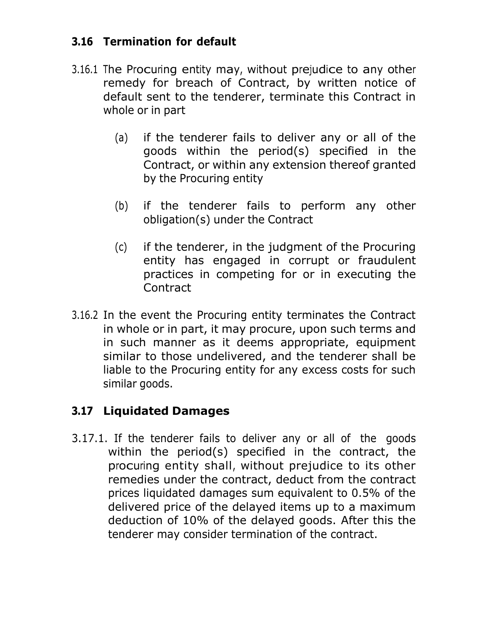## **3.16 Termination for default**

- 3.16.1 The Procuring entity may, without prejudice to any other remedy for breach of Contract, by written notice of default sent to the tenderer, terminate this Contract in whole or in part
	- (a) if the tenderer fails to deliver any or all of the goods within the period(s) specified in the Contract, or within any extension thereof granted by the Procuring entity
	- (b) if the tenderer fails to perform any other obligation(s) under the Contract
	- (c) if the tenderer, in the judgment of the Procuring entity has engaged in corrupt or fraudulent practices in competing for or in executing the **Contract**
- 3.16.2 In the event the Procuring entity terminates the Contract in whole or in part, it may procure, upon such terms and in such manner as it deems appropriate, equipment similar to those undelivered, and the tenderer shall be liable to the Procuring entity for any excess costs for such similar goods.

## **3.17 Liquidated Damages**

3.17.1. If the tenderer fails to deliver any or all of the goods within the period(s) specified in the contract, the procuring entity shall, without prejudice to its other remedies under the contract, deduct from the contract prices liquidated damages sum equivalent to 0.5% of the delivered price of the delayed items up to a maximum deduction of 10% of the delayed goods. After this the tenderer may consider termination of the contract.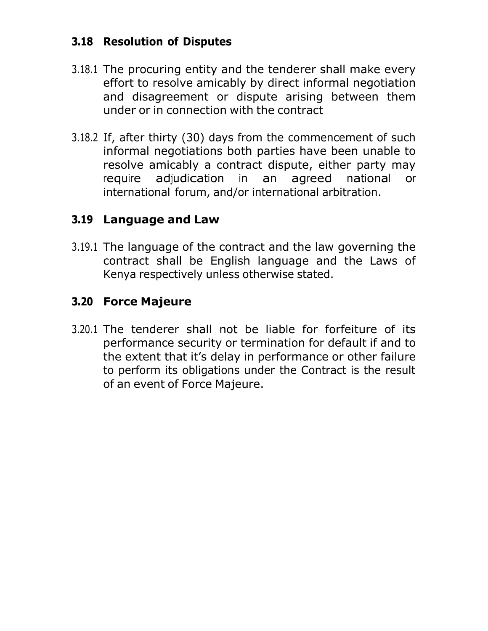## **3.18 Resolution of Disputes**

- 3.18.1 The procuring entity and the tenderer shall make every effort to resolve amicably by direct informal negotiation and disagreement or dispute arising between them under or in connection with the contract
- 3.18.2 If, after thirty (30) days from the commencement of such informal negotiations both parties have been unable to resolve amicably a contract dispute, either party may require adjudication in an agreed national or international forum, and/or international arbitration.

#### **3.19 Language and Law**

3.19.1 The language of the contract and the law governing the contract shall be English language and the Laws of Kenya respectively unless otherwise stated.

## **3.20 Force Majeure**

3.20.1 The tenderer shall not be liable for forfeiture of its performance security or termination for default if and to the extent that it's delay in performance or other failure to perform its obligations under the Contract is the result of an event of Force Majeure.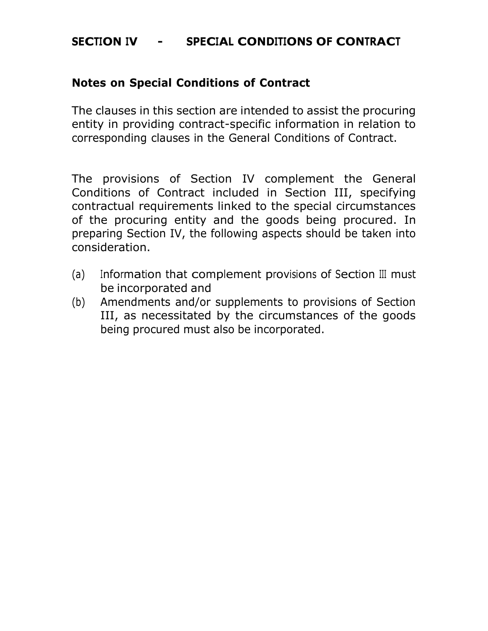#### **SECTION IV - SPECIAL CONDITIONS OF CONTRACT**

#### **Notes on Special Conditions of Contract**

The clauses in this section are intended to assist the procuring entity in providing contract-specific information in relation to corresponding clauses in the General Conditions of Contract.

The provisions of Section IV complement the General Conditions of Contract included in Section III, specifying contractual requirements linked to the special circumstances of the procuring entity and the goods being procured. In preparing Section IV, the following aspects should be taken into consideration.

- (a) Information that complement provisions of Section III must be incorporated and
- (b) Amendments and/or supplements to provisions of Section III, as necessitated by the circumstances of the goods being procured must also be incorporated.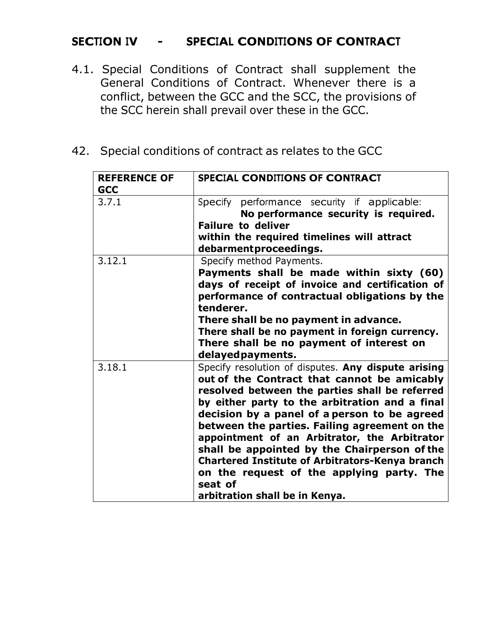## **SECTION IV - SPECIAL CONDITIONS OF CONTRACT**

- 4.1. Special Conditions of Contract shall supplement the General Conditions of Contract. Whenever there is a conflict, between the GCC and the SCC, the provisions of the SCC herein shall prevail over these in the GCC.
- 42. Special conditions of contract as relates to the GCC

| <b>REFERENCE OF</b><br><b>GCC</b> | <b>SPECIAL CONDITIONS OF CONTRACT</b>                                                                                                                                                                                                                                                                                                                                                                                                                                                                                                                       |
|-----------------------------------|-------------------------------------------------------------------------------------------------------------------------------------------------------------------------------------------------------------------------------------------------------------------------------------------------------------------------------------------------------------------------------------------------------------------------------------------------------------------------------------------------------------------------------------------------------------|
| 3.7.1                             | Specify performance security if applicable:<br>No performance security is required.<br><b>Failure to deliver</b><br>within the required timelines will attract<br>debarmentproceedings.                                                                                                                                                                                                                                                                                                                                                                     |
| 3.12.1                            | Specify method Payments.<br>Payments shall be made within sixty (60)<br>days of receipt of invoice and certification of<br>performance of contractual obligations by the<br>tenderer.<br>There shall be no payment in advance.<br>There shall be no payment in foreign currency.<br>There shall be no payment of interest on<br>delayed payments.                                                                                                                                                                                                           |
| 3.18.1                            | Specify resolution of disputes. Any dispute arising<br>out of the Contract that cannot be amicably<br>resolved between the parties shall be referred<br>by either party to the arbitration and a final<br>decision by a panel of a person to be agreed<br>between the parties. Failing agreement on the<br>appointment of an Arbitrator, the Arbitrator<br>shall be appointed by the Chairperson of the<br><b>Chartered Institute of Arbitrators-Kenya branch</b><br>on the request of the applying party. The<br>seat of<br>arbitration shall be in Kenya. |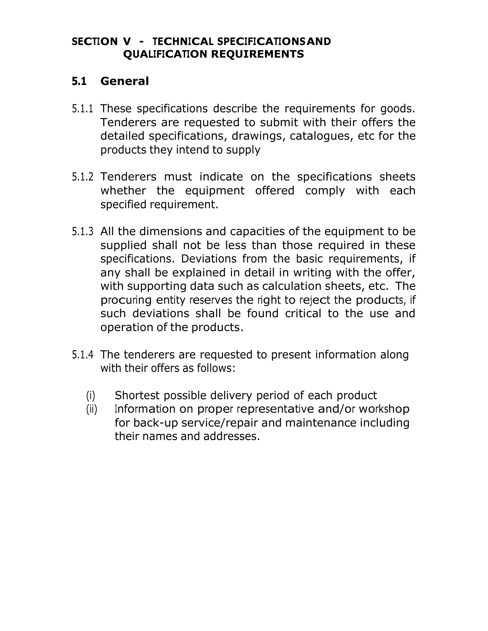#### **SECTION V - TECHNICAL SPECIFICATIONSAND QUALIFICATION REQUIREMENTS**

#### **5.1 General**

- 5.1.1 These specifications describe the requirements for goods. Tenderers are requested to submit with their offers the detailed specifications, drawings, catalogues, etc for the products they intend to supply
- 5.1.2 Tenderers must indicate on the specifications sheets whether the equipment offered comply with each specified requirement.
- 5.1.3 All the dimensions and capacities of the equipment to be supplied shall not be less than those required in these specifications. Deviations from the basic requirements, if any shall be explained in detail in writing with the offer, with supporting data such as calculation sheets, etc. The procuring entity reserves the right to reject the products, if such deviations shall be found critical to the use and operation of the products.
- 5.1.4 The tenderers are requested to present information along with their offers as follows:
	- (i) Shortest possible delivery period of each product
	- (ii) Information on proper representative and/or workshop for back-up service/repair and maintenance including their names and addresses.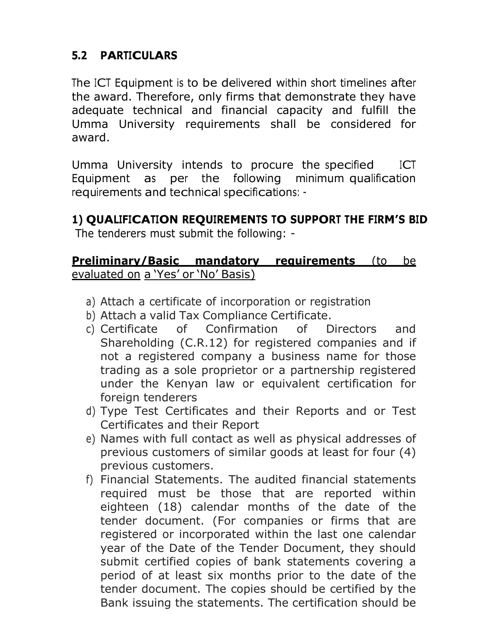## **5.2 PARTICULARS**

The ICT Equipment is to be delivered within short timelines after the award. Therefore, only firms that demonstrate they have adequate technical and financial capacity and fulfill the Umma University requirements shall be considered for award.

Umma University intends to procure the specified ICT Equipment as per the following minimum qualification requirements and technical specifications: -

## **1) QUALIFICATION REQUIREMENTS TO SUPPORT THE FIRM'S BID**

The tenderers must submit the following: -

#### **Preliminary/Basic mandatory requirements** (to be evaluated on a 'Yes' or 'No' Basis)

- a) Attach a certificate of incorporation or registration
- b) Attach a valid Tax Compliance Certificate.
- c) Certificate of Confirmation of Directors and Shareholding (C.R.12) for registered companies and if not a registered company a business name for those trading as a sole proprietor or a partnership registered under the Kenyan law or equivalent certification for foreign tenderers
- d) Type Test Certificates and their Reports and or Test Certificates and their Report
- e) Names with full contact as well as physical addresses of previous customers of similar goods at least for four (4) previous customers.
- f) Financial Statements. The audited financial statements required must be those that are reported within eighteen (18) calendar months of the date of the tender document. (For companies or firms that are registered or incorporated within the last one calendar year of the Date of the Tender Document, they should submit certified copies of bank statements covering a period of at least six months prior to the date of the tender document. The copies should be certified by the Bank issuing the statements. The certification should be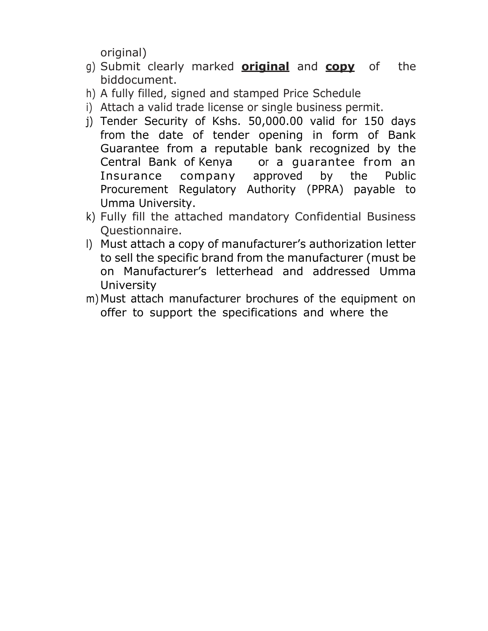original)

- g) Submit clearly marked **original** and **copy** of the biddocument.
- h) A fully filled, signed and stamped Price Schedule
- i) Attach a valid trade license or single business permit.
- j) Tender Security of Kshs. 50,000.00 valid for 150 days from the date of tender opening in form of Bank Guarantee from a reputable bank recognized by the Central Bank of Kenya or a guarantee from an Insurance company approved by the Public Procurement Regulatory Authority (PPRA) payable to Umma University.
- k) Fully fill the attached mandatory Confidential Business Questionnaire.
- l) Must attach a copy of manufacturer's authorization letter to sell the specific brand from the manufacturer (must be on Manufacturer's letterhead and addressed Umma **University**
- m) Must attach manufacturer brochures of the equipment on offer to support the specifications and where the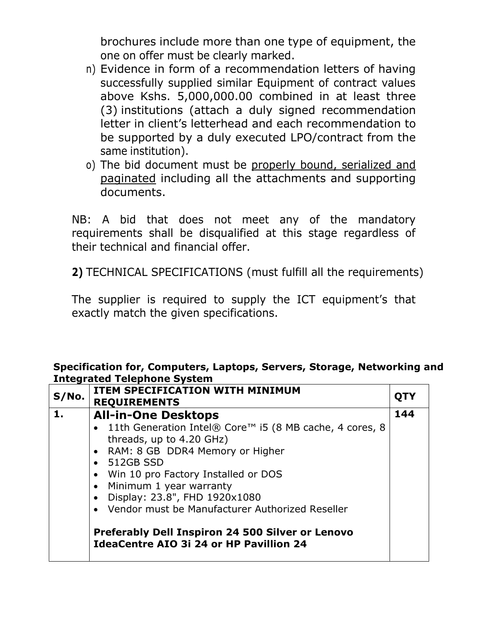brochures include more than one type of equipment, the one on offer must be clearly marked.

- n) Evidence in form of a recommendation letters of having successfully supplied similar Equipment of contract values above Kshs. 5,000,000.00 combined in at least three (3) institutions (attach a duly signed recommendation letter in client's letterhead and each recommendation to be supported by a duly executed LPO/contract from the same institution).
- o) The bid document must be properly bound, serialized and paginated including all the attachments and supporting documents.

NB: A bid that does not meet any of the mandatory requirements shall be disqualified at this stage regardless of their technical and financial offer.

**2)** TECHNICAL SPECIFICATIONS (must fulfill all the requirements)

The supplier is required to supply the ICT equipment's that exactly match the given specifications.

#### **Specification for, Computers, Laptops, Servers, Storage, Networking and Integrated Telephone System**

| S/No. | <b>ITEM SPECIFICATION WITH MINIMUM</b><br><b>REQUIREMENTS</b>                                                                                                                                                                                                                                                                                                                                                                                                                         | QT) |
|-------|---------------------------------------------------------------------------------------------------------------------------------------------------------------------------------------------------------------------------------------------------------------------------------------------------------------------------------------------------------------------------------------------------------------------------------------------------------------------------------------|-----|
| 1.    | <b>All-in-One Desktops</b><br>• 11th Generation Intel® Core <sup>™</sup> i5 (8 MB cache, 4 cores, 8<br>threads, up to 4.20 GHz)<br>• RAM: 8 GB DDR4 Memory or Higher<br>$\bullet$ 512GB SSD<br>• Win 10 pro Factory Installed or DOS<br>• Minimum 1 year warranty<br>Display: 23.8", FHD 1920x1080<br>$\bullet$<br>Vendor must be Manufacturer Authorized Reseller<br>$\bullet$<br>Preferably Dell Inspiron 24 500 Silver or Lenovo<br><b>IdeaCentre AIO 3i 24 or HP Pavillion 24</b> | 144 |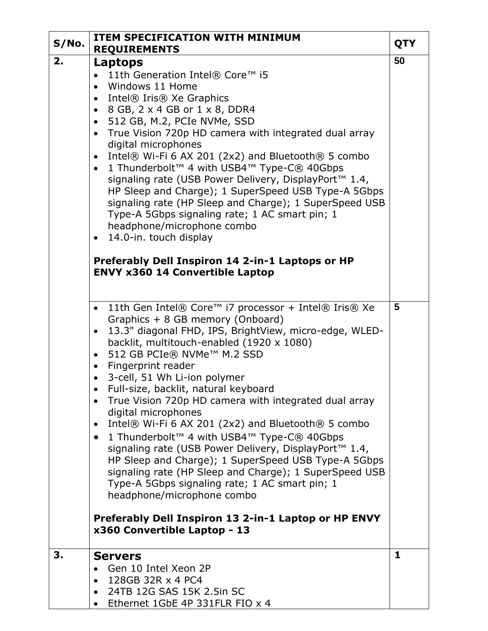| S/No. | <b>ITEM SPECIFICATION WITH MINIMUM</b><br><b>REQUIREMENTS</b>                                                                                                                                                                                                                                                                                                                                                                                                                                                                                                                                                                                                                                                                                       | <b>QTY</b> |
|-------|-----------------------------------------------------------------------------------------------------------------------------------------------------------------------------------------------------------------------------------------------------------------------------------------------------------------------------------------------------------------------------------------------------------------------------------------------------------------------------------------------------------------------------------------------------------------------------------------------------------------------------------------------------------------------------------------------------------------------------------------------------|------------|
| 2.    | Laptops                                                                                                                                                                                                                                                                                                                                                                                                                                                                                                                                                                                                                                                                                                                                             | 50         |
|       | 11th Generation Intel® Core™ i5<br>Windows 11 Home<br>$\bullet$<br>Intel® Iris® Xe Graphics<br>$\bullet$<br>8 GB, 2 x 4 GB or 1 x 8, DDR4<br>$\bullet$<br>512 GB, M.2, PCIe NVMe, SSD<br>$\bullet$<br>True Vision 720p HD camera with integrated dual array<br>$\bullet$<br>digital microphones<br>Intel® Wi-Fi 6 AX 201 (2x2) and Bluetooth® 5 combo<br>$\bullet$<br>1 Thunderbolt™ 4 with USB4™ Type-C® 40Gbps<br>$\bullet$<br>signaling rate (USB Power Delivery, DisplayPort <sup>™</sup> 1.4,<br>HP Sleep and Charge); 1 SuperSpeed USB Type-A 5Gbps<br>signaling rate (HP Sleep and Charge); 1 SuperSpeed USB<br>Type-A 5Gbps signaling rate; 1 AC smart pin; 1<br>headphone/microphone combo<br>14.0-in. touch display<br>$\bullet$          |            |
|       | Preferably Dell Inspiron 14 2-in-1 Laptops or HP<br><b>ENVY x360 14 Convertible Laptop</b>                                                                                                                                                                                                                                                                                                                                                                                                                                                                                                                                                                                                                                                          |            |
|       | 11th Gen Intel® Core™ i7 processor + Intel® Iris® Xe<br>$\bullet$<br>Graphics + 8 GB memory (Onboard)<br>13.3" diagonal FHD, IPS, BrightView, micro-edge, WLED-<br>$\bullet$<br>backlit, multitouch-enabled (1920 x 1080)<br>512 GB PCIe® NVMe™ M.2 SSD<br>$\bullet$<br>Fingerprint reader<br>$\bullet$<br>3-cell, 51 Wh Li-ion polymer<br>$\bullet$<br>Full-size, backlit, natural keyboard<br>True Vision 720p HD camera with integrated dual array<br>$\bullet$<br>digital microphones<br>Intel® Wi-Fi 6 AX 201 (2x2) and Bluetooth® 5 combo<br>$\bullet$<br>1 Thunderbolt™ 4 with USB4™ Type-C® 40Gbps<br>$\bullet$<br>signaling rate (USB Power Delivery, DisplayPort <sup>™</sup> 1.4,<br>HP Sleep and Charge); 1 SuperSpeed USB Type-A 5Gbps | 5          |
|       | signaling rate (HP Sleep and Charge); 1 SuperSpeed USB<br>Type-A 5Gbps signaling rate; 1 AC smart pin; 1<br>headphone/microphone combo<br>Preferably Dell Inspiron 13 2-in-1 Laptop or HP ENVY<br>x360 Convertible Laptop - 13                                                                                                                                                                                                                                                                                                                                                                                                                                                                                                                      |            |
| 3.    | <b>Servers</b><br>Gen 10 Intel Xeon 2P<br>128GB 32R x 4 PC4<br>$\bullet$<br>24TB 12G SAS 15K 2.5in SC<br>$\bullet$<br>Ethernet 1GbE 4P 331FLR FIO x 4                                                                                                                                                                                                                                                                                                                                                                                                                                                                                                                                                                                               | 1          |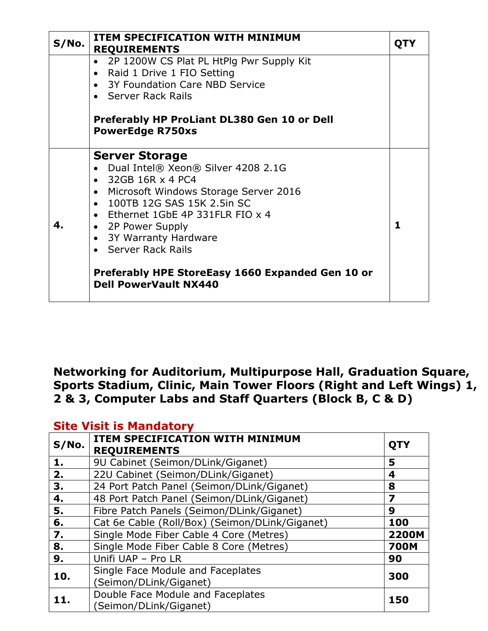| S/No. | <b>ITEM SPECIFICATION WITH MINIMUM</b><br><b>REQUIREMENTS</b>                                                                                                                                                                                                                                                                                                              | QTY          |
|-------|----------------------------------------------------------------------------------------------------------------------------------------------------------------------------------------------------------------------------------------------------------------------------------------------------------------------------------------------------------------------------|--------------|
|       | 2P 1200W CS Plat PL HtPlg Pwr Supply Kit<br>$\bullet$<br>Raid 1 Drive 1 FIO Setting<br>$\bullet$<br>• 3Y Foundation Care NBD Service<br>• Server Rack Rails                                                                                                                                                                                                                |              |
|       | Preferably HP ProLiant DL380 Gen 10 or Dell<br><b>PowerEdge R750xs</b>                                                                                                                                                                                                                                                                                                     |              |
| 4.    | <b>Server Storage</b><br>• Dual Intel® Xeon® Silver 4208 2.1G<br>$\bullet$ 32GB 16R $\times$ 4 PC4<br>• Microsoft Windows Storage Server 2016<br>• 100TB 12G SAS 15K 2.5in SC<br>• Ethernet 1GbE 4P 331FLR FIO x 4<br>• 2P Power Supply<br>• 3Y Warranty Hardware<br>Server Rack Rails<br>Preferably HPE StoreEasy 1660 Expanded Gen 10 or<br><b>Dell PowerVault NX440</b> | $\mathbf{1}$ |

#### **Networking for Auditorium, Multipurpose Hall, Graduation Square, Sports Stadium, Clinic, Main Tower Floors (Right and Left Wings) 1, 2 & 3, Computer Labs and Staff Quarters (Block B, C & D)**

#### **Site Visit is Mandatory**

| S/No. | <b>ITEM SPECIFICATION WITH MINIMUM</b><br><b>REQUIREMENTS</b> | QTY          |
|-------|---------------------------------------------------------------|--------------|
| 1.    | 9U Cabinet (Seimon/DLink/Giganet)                             | 5            |
| 2.    | 22U Cabinet (Seimon/DLink/Giganet)                            | 4            |
| 3.    | 24 Port Patch Panel (Seimon/DLink/Giganet)                    | 8            |
| 4.    | 48 Port Patch Panel (Seimon/DLink/Giganet)                    | 7            |
| 5.    | Fibre Patch Panels (Seimon/DLink/Giganet)                     | 9            |
| 6.    | Cat 6e Cable (Roll/Box) (Seimon/DLink/Giganet)                | 100          |
| 7.    | Single Mode Fiber Cable 4 Core (Metres)                       | <b>2200M</b> |
| 8.    | Single Mode Fiber Cable 8 Core (Metres)                       | <b>700M</b>  |
| 9.    | Unifi UAP - Pro LR                                            | 90           |
| 10.   | Single Face Module and Faceplates                             | 300          |
|       | (Seimon/DLink/Giganet)                                        |              |
| 11.   | Double Face Module and Faceplates                             | 150          |
|       | (Seimon/DLink/Giganet)                                        |              |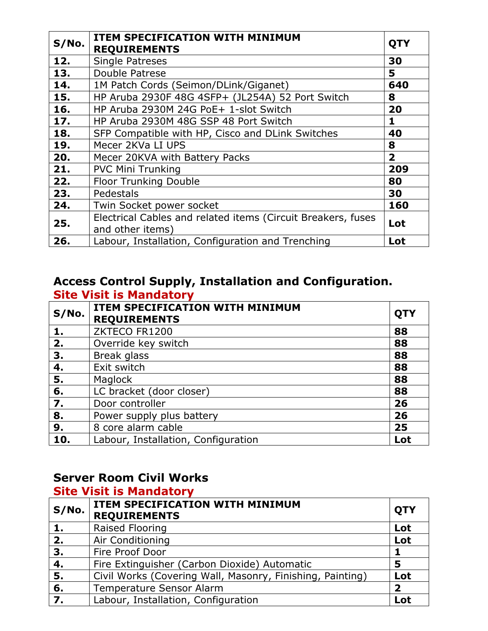| S/No. | <b>ITEM SPECIFICATION WITH MINIMUM</b><br><b>REQUIREMENTS</b>                    | <b>QTY</b>              |
|-------|----------------------------------------------------------------------------------|-------------------------|
| 12.   | <b>Single Patreses</b>                                                           | 30                      |
| 13.   | Double Patrese                                                                   | 5                       |
| 14.   | 1M Patch Cords (Seimon/DLink/Giganet)                                            | 640                     |
| 15.   | HP Aruba 2930F 48G 4SFP+ (JL254A) 52 Port Switch                                 | 8                       |
| 16.   | HP Aruba 2930M 24G PoE+ 1-slot Switch                                            | 20                      |
| 17.   | HP Aruba 2930M 48G SSP 48 Port Switch                                            | 1                       |
| 18.   | SFP Compatible with HP, Cisco and DLink Switches                                 | 40                      |
| 19.   | Mecer 2KVa LI UPS                                                                | 8                       |
| 20.   | Mecer 20KVA with Battery Packs                                                   | $\overline{\mathbf{2}}$ |
| 21.   | <b>PVC Mini Trunking</b>                                                         | 209                     |
| 22.   | <b>Floor Trunking Double</b>                                                     | 80                      |
| 23.   | Pedestals                                                                        | 30                      |
| 24.   | Twin Socket power socket                                                         | 160                     |
| 25.   | Electrical Cables and related items (Circuit Breakers, fuses<br>and other items) | Lot                     |
| 26.   | Labour, Installation, Configuration and Trenching                                | Lot                     |

#### **Access Control Supply, Installation and Configuration. Site Visit is Mandatory**

| S/No. | ITEM SPECIFICATION WITH MINIMUM<br><b>REQUIREMENTS</b> | <b>QTY</b> |
|-------|--------------------------------------------------------|------------|
| 1.    | ZKTECO FR1200                                          | 88         |
| 2.    | Override key switch                                    | 88         |
| 3.    | Break glass                                            | 88         |
| 4.    | Exit switch                                            | 88         |
| 5.    | Maglock                                                | 88         |
| 6.    | LC bracket (door closer)                               | 88         |
| 7.    | Door controller                                        | 26         |
| 8.    | Power supply plus battery                              | 26         |
| 9.    | 8 core alarm cable                                     | 25         |
| 10.   | Labour, Installation, Configuration                    | Lot        |

## **Server Room Civil Works**

## **Site Visit is Mandatory**

| S/No. | ITEM SPECIFICATION WITH MINIMUM<br><b>REQUIREMENTS</b>    | <b>QTY</b>              |
|-------|-----------------------------------------------------------|-------------------------|
| 1.    | Raised Flooring                                           | Lot                     |
| 2.    | Air Conditioning                                          | Lot                     |
| 3.    | Fire Proof Door                                           |                         |
| 4.    | Fire Extinguisher (Carbon Dioxide) Automatic              | 5                       |
| 5.    | Civil Works (Covering Wall, Masonry, Finishing, Painting) | Lot                     |
| 6.    | Temperature Sensor Alarm                                  | $\overline{\mathbf{2}}$ |
| 7.    | Labour, Installation, Configuration                       | Lot                     |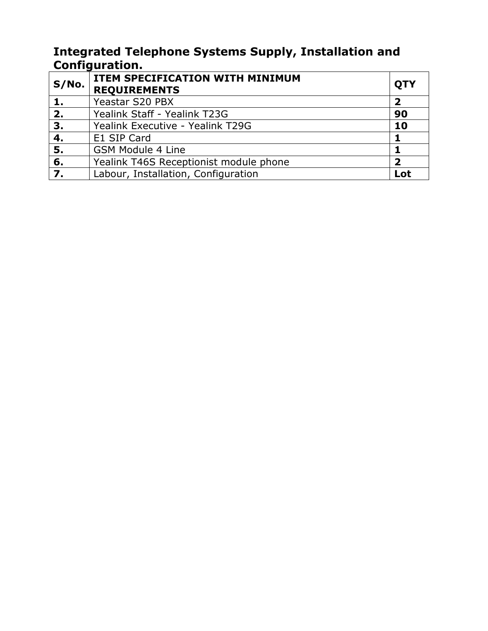#### **Integrated Telephone Systems Supply, Installation and Configuration.**

| S/No. | ITEM SPECIFICATION WITH MINIMUM<br><b>REQUIREMENTS</b> | <b>QTY</b>              |
|-------|--------------------------------------------------------|-------------------------|
|       | Yeastar S20 PBX                                        | $\overline{\mathbf{2}}$ |
| 2.    | Yealink Staff - Yealink T23G                           | 90                      |
| 3.    | Yealink Executive - Yealink T29G                       | 10                      |
| 4.    | E1 SIP Card                                            |                         |
| 5.    | <b>GSM Module 4 Line</b>                               |                         |
| 6.    | Yealink T46S Receptionist module phone                 | 2                       |
| 7.    | Labour, Installation, Configuration                    | Lot                     |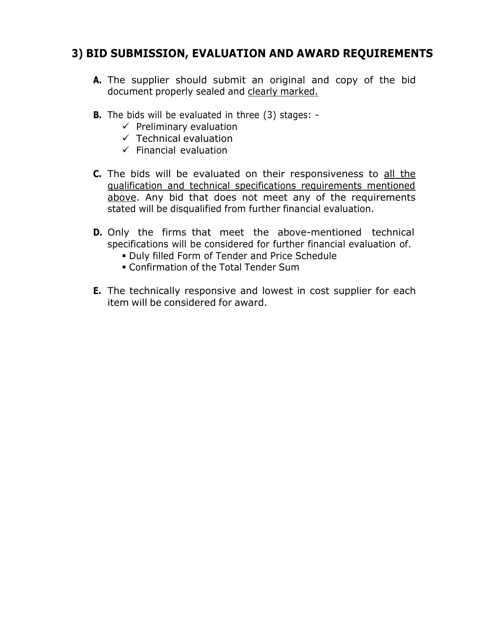## **3) BID SUBMISSION, EVALUATION AND AWARD REQUIREMENTS**

- **A.** The supplier should submit an original and copy of the bid document properly sealed and clearly marked.
- **B.** The bids will be evaluated in three (3) stages:
	- $\checkmark$  Preliminary evaluation
	- $\checkmark$  Technical evaluation
	- $\checkmark$  Financial evaluation
- **C.** The bids will be evaluated on their responsiveness to all the qualification and technical specifications requirements mentioned above. Any bid that does not meet any of the requirements stated will be disqualified from further financial evaluation.
- **D.** Only the firms that meet the above-mentioned technical specifications will be considered for further financial evaluation of.
	- Duly filled Form of Tender and Price Schedule
	- Confirmation of the Total Tender Sum
- **E.** The technically responsive and lowest in cost supplier for each item will be considered for award.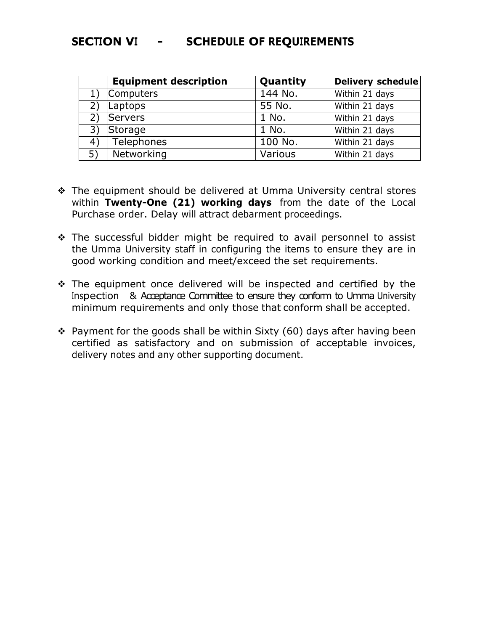#### **SECTION VI - SCHEDULE OF REQUIREMENTS**

|    | <b>Equipment description</b> | Quantity | Delivery schedule |
|----|------------------------------|----------|-------------------|
|    | Computers                    | 144 No.  | Within 21 days    |
|    | Laptops                      | 55 No.   | Within 21 days    |
|    | Servers                      | 1 No.    | Within 21 days    |
| 3) | Storage                      | 1 No.    | Within 21 days    |
| 4) | Telephones                   | 100 No.  | Within 21 days    |
| 5) | Networking                   | Various  | Within 21 days    |

- \* The equipment should be delivered at Umma University central stores within **Twenty-One (21) working days** from the date of the Local Purchase order. Delay will attract debarment proceedings.
- $\cdot$  The successful bidder might be required to avail personnel to assist the Umma University staff in configuring the items to ensure they are in good working condition and meet/exceed the set requirements.
- $\cdot$  The equipment once delivered will be inspected and certified by the Inspection & Acceptance Committee to ensure they conform to Umma University minimum requirements and only those that conform shall be accepted.
- $\cdot$  Payment for the goods shall be within Sixty (60) days after having been certified as satisfactory and on submission of acceptable invoices, delivery notes and any other supporting document.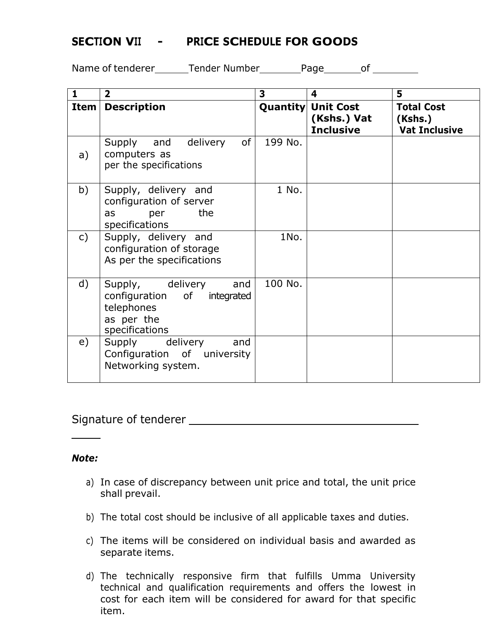#### **SECTION VII - PRICE SCHEDULE FOR GOODS**

Name of tenderer Tender Number Page of

| 1             | $\overline{\mathbf{2}}$                                                                                 | 3       | 4                                                            | 5                                                    |
|---------------|---------------------------------------------------------------------------------------------------------|---------|--------------------------------------------------------------|------------------------------------------------------|
| Item          | <b>Description</b>                                                                                      |         | <b>Quantity Unit Cost</b><br>(Kshs.) Vat<br><b>Inclusive</b> | <b>Total Cost</b><br>(Kshs.)<br><b>Vat Inclusive</b> |
| a)            | of<br>Supply and delivery<br>computers as<br>per the specifications                                     | 199 No. |                                                              |                                                      |
| b)            | Supply, delivery and<br>configuration of server<br>the<br>as<br>per<br>specifications                   | 1 No.   |                                                              |                                                      |
| $\mathsf{c})$ | Supply, delivery and<br>configuration of storage<br>As per the specifications                           | 1No.    |                                                              |                                                      |
| $\mathsf{d}$  | Supply, delivery<br>and<br>configuration of<br>integrated<br>telephones<br>as per the<br>specifications | 100 No. |                                                              |                                                      |
| e)            | Supply delivery<br>and<br>Configuration of university<br>Networking system.                             |         |                                                              |                                                      |

#### Signature of tenderer

#### *Note:*

- a) In case of discrepancy between unit price and total, the unit price shall prevail.
- b) The total cost should be inclusive of all applicable taxes and duties.
- c) The items will be considered on individual basis and awarded as separate items.
- d) The technically responsive firm that fulfills Umma University technical and qualification requirements and offers the lowest in cost for each item will be considered for award for that specific item.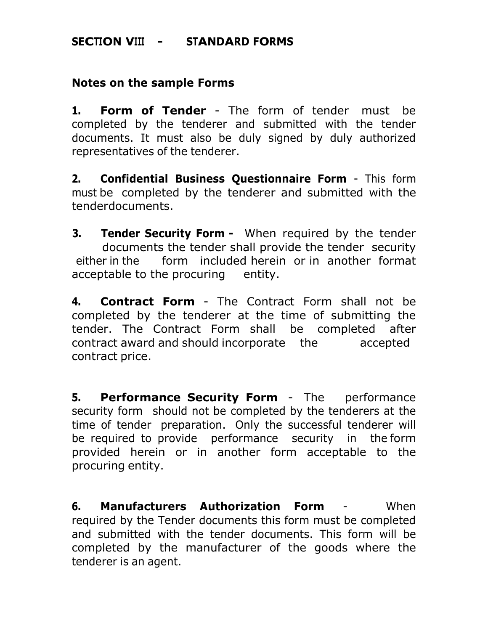#### **SECTION VIII - STANDARD FORMS**

#### **Notes on the sample Forms**

**1. Form of Tender** - The form of tender must be completed by the tenderer and submitted with the tender documents. It must also be duly signed by duly authorized representatives of the tenderer.

**2. Confidential Business Questionnaire Form** - This form must be completed by the tenderer and submitted with the tenderdocuments.

**3. Tender Security Form -** When required by the tender documents the tender shall provide the tender security either in the form included herein or in another format acceptable to the procuring entity.

**4. Contract Form** - The Contract Form shall not be completed by the tenderer at the time of submitting the tender. The Contract Form shall be completed after contract award and should incorporate the accepted contract price.

**5. Performance Security Form** - The performance security form should not be completed by the tenderers at the time of tender preparation. Only the successful tenderer will be required to provide performance security in the form provided herein or in another form acceptable to the procuring entity.

**6. Manufacturers Authorization Form** - When required by the Tender documents this form must be completed and submitted with the tender documents. This form will be completed by the manufacturer of the goods where the tenderer is an agent.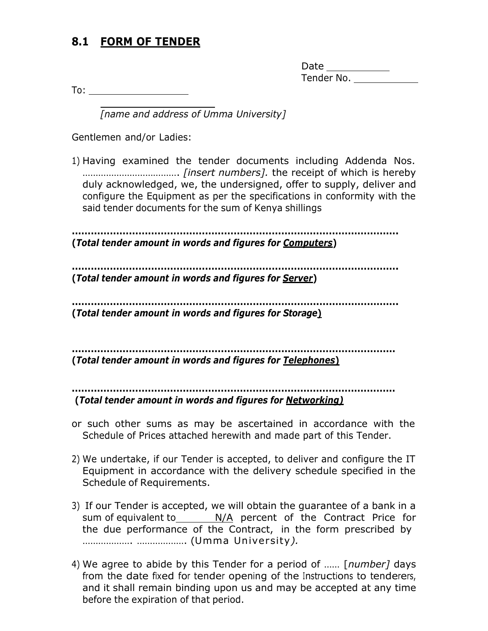## **8.1 FORM OF TENDER**

| Date       |  |
|------------|--|
| Tender No. |  |

To:

*[name and address of Umma University]*

Gentlemen and/or Ladies:

1) Having examined the tender documents including Addenda Nos. ………………………………. *[insert numbers].* the receipt of which is hereby duly acknowledged, we, the undersigned, offer to supply, deliver and configure the Equipment as per the specifications in conformity with the said tender documents for the sum of Kenya shillings

**…………………………………………………………………………………………. (***Total tender amount in words and figures for Computers***)**

**…………………………………………………………………………………………. (***Total tender amount in words and figures for Server***)**

**…………………………………………………………………………………………. (***Total tender amount in words and figures for Storage***)**

**…………………………………………………………………………………………**

**(***Total tender amount in words and figures for Telephones***)**

**………………………………………………………………………………………… (***Total tender amount in words and figures for Networking)*

- or such other sums as may be ascertained in accordance with the Schedule of Prices attached herewith and made part of this Tender.
- 2) We undertake, if our Tender is accepted, to deliver and configure the IT Equipment in accordance with the delivery schedule specified in the Schedule of Requirements.
- 3) If our Tender is accepted, we will obtain the guarantee of a bank in a sum of equivalent to  $N/A$  percent of the Contract Price for the due performance of the Contract, in the form prescribed by ………………. ………………. (Umma University*).*
- 4) We agree to abide by this Tender for a period of …… [*number]* days from the date fixed for tender opening of the Instructions to tenderers, and it shall remain binding upon us and may be accepted at any time before the expiration of that period.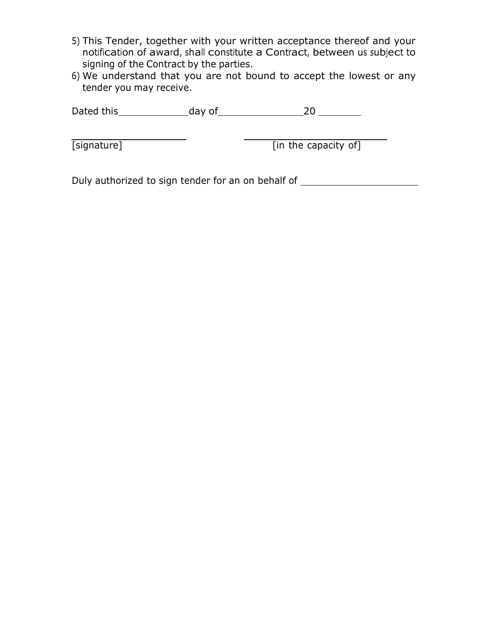- 5) This Tender, together with your written acceptance thereof and your notification of award, shall constitute a Contract, between us subject to signing of the Contract by the parties.
- 6) We understand that you are not bound to accept the lowest or any tender you may receive.

Dated this day of 20

[signature] The capacity of The Capacity of The Capacity of The Capacity of The Capacity of The Capacity of The Capacity of The Capacity of The Capacity of The Capacity of The Capacity of The Capacity of The Capacity of Th

Duly authorized to sign tender for an on behalf of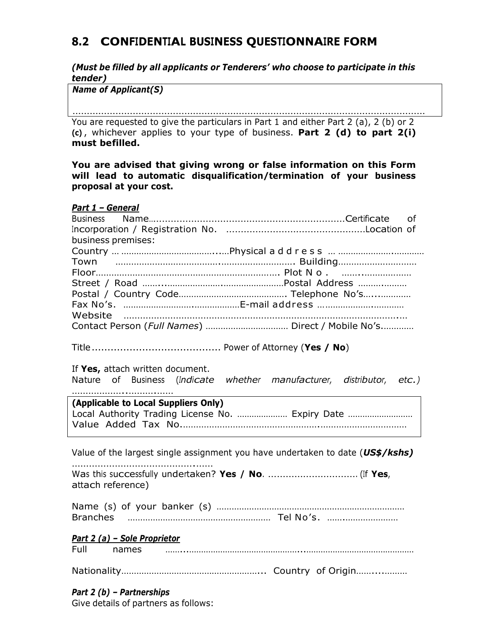## **8.2 CONFIDENTIAL BUSINESS QUESTIONNAIRE FORM**

*(Must be filled by all applicants or Tenderers' who choose to participate in this tender)*

*Name of Applicant(S)*

You are requested to give the particulars in Part 1 and either Part 2 (a), 2 (b) or 2 **(c)** , whichever applies to your type of business. **Part 2 (d) to part 2(i) must befilled.** ……………………………………………………………………………………………………………

**You are advised that giving wrong or false information on this Form will lead to automatic disqualification/termination of your business proposal at your cost.**

| Part 1 - General                                                               |
|--------------------------------------------------------------------------------|
| <b>Business</b><br><b>of</b>                                                   |
|                                                                                |
| business premises:                                                             |
|                                                                                |
|                                                                                |
|                                                                                |
|                                                                                |
|                                                                                |
|                                                                                |
| Website                                                                        |
|                                                                                |
|                                                                                |
|                                                                                |
| If Yes, attach written document.                                               |
| Nature of Business (Indicate whether manufacturer, distributor, etc.)          |
|                                                                                |
| (Applicable to Local Suppliers Only)                                           |
| Local Authority Trading License No.  Expiry Date                               |
|                                                                                |
|                                                                                |
|                                                                                |
| Value of the largest single assignment you have undertaken to date (US\$/kshs) |
|                                                                                |
|                                                                                |
| attach reference)                                                              |
|                                                                                |
|                                                                                |
|                                                                                |
|                                                                                |
| Part 2 (a) - Sole Proprietor                                                   |
|                                                                                |
|                                                                                |
|                                                                                |
|                                                                                |
| Part $2(b)$ - Partnerships                                                     |

Give details of partners as follows: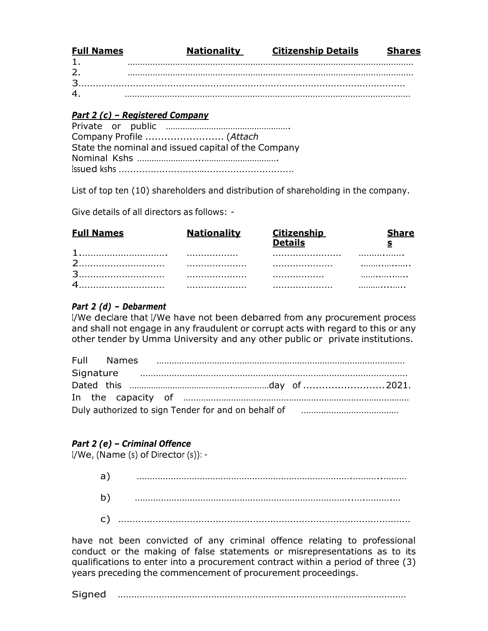| <b>Full Names</b> | <b>Nationality</b> | <b>Citizenship Details</b> | <b>Shares</b> |
|-------------------|--------------------|----------------------------|---------------|
|                   |                    |                            |               |
| 2.                |                    |                            |               |
|                   |                    |                            |               |
| 4.                |                    |                            |               |

#### *Part 2 (c) – Registered Company*

|  | Company Profile  (Attach                            |
|--|-----------------------------------------------------|
|  | State the nominal and issued capital of the Company |
|  |                                                     |
|  |                                                     |

List of top ten (10) shareholders and distribution of shareholding in the company.

Give details of all directors as follows: -

| <b>Full Names</b> | <b>Nationality</b> |   |   |
|-------------------|--------------------|---|---|
|                   | .                  |   | . |
|                   |                    |   | . |
| 2                 |                    | . | . |
|                   |                    |   | . |

#### *Part 2 (d) – Debarment*

I/We declare that I/We have not been debarred from any procurement process and shall not engage in any fraudulent or corrupt acts with regard to this or any other tender by Umma University and any other public or private institutions.

| Full Names |  |                                                                     |  |
|------------|--|---------------------------------------------------------------------|--|
|            |  |                                                                     |  |
|            |  |                                                                     |  |
|            |  |                                                                     |  |
|            |  | Duly authorized to sign Tender for and on behalf of manumumumumumum |  |

#### *Part 2 (e) – Criminal Offence*

I/We, (Name (s) of Director (s)): -

| a` |  |
|----|--|
| b) |  |
| C) |  |

have not been convicted of any criminal offence relating to professional conduct or the making of false statements or misrepresentations as to its qualifications to enter into a procurement contract within a period of three (3) years preceding the commencement of procurement proceedings.

Signed ……………………………………………………………………………………………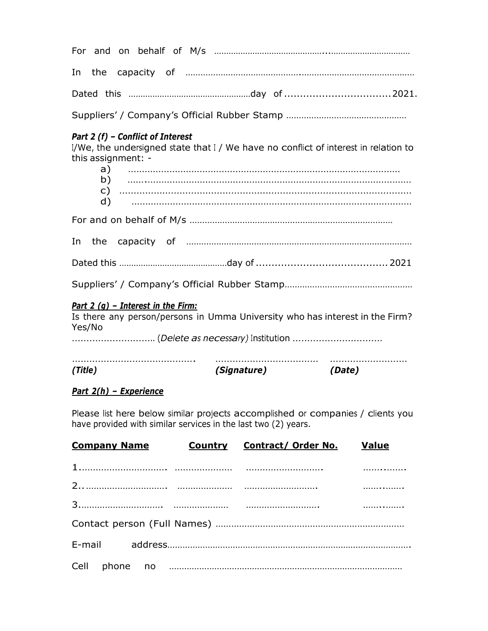For and on behalf of M/s ………………………………………...…………………………… In the capacity of ……………………………………….……………………………………… Dated this ……………………………………………day of ..................................2021.

Suppliers' / Company's Official Rubber Stamp …………………………………………

#### *Part 2 (f) – Conflict of Interest*

I/We, the undersigned state that I / We have no conflict of interest in relation to this assignment: -

| (Title)                                        | <i>(Signature)</i> | (Date)                                                                       |
|------------------------------------------------|--------------------|------------------------------------------------------------------------------|
| Part 2 $(q)$ - Interest in the Firm:<br>Yes/No |                    | Is there any person/persons in Umma University who has interest in the Firm? |
|                                                |                    |                                                                              |
|                                                |                    |                                                                              |
|                                                |                    |                                                                              |
|                                                |                    |                                                                              |
|                                                |                    |                                                                              |
|                                                |                    |                                                                              |
|                                                |                    |                                                                              |

#### *Part 2(h) – Experience*

Please list here below similar projects accomplished or companies / clients you have provided with similar services in the last two (2) years.

| <b>Company Name</b> | <b>Country Contract/ Order No. Value</b> |  |
|---------------------|------------------------------------------|--|
|                     |                                          |  |
|                     |                                          |  |
|                     |                                          |  |
|                     |                                          |  |
|                     |                                          |  |
|                     |                                          |  |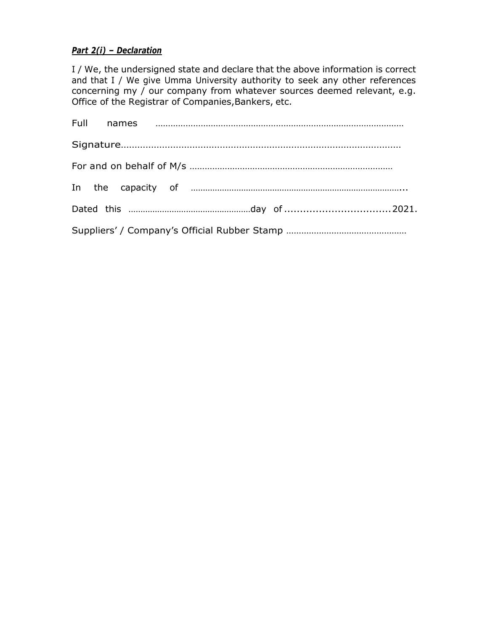#### *Part 2(i) – Declaration*

I / We, the undersigned state and declare that the above information is correct and that I / We give Umma University authority to seek any other references concerning my / our company from whatever sources deemed relevant, e.g. Office of the Registrar of Companies, Bankers, etc.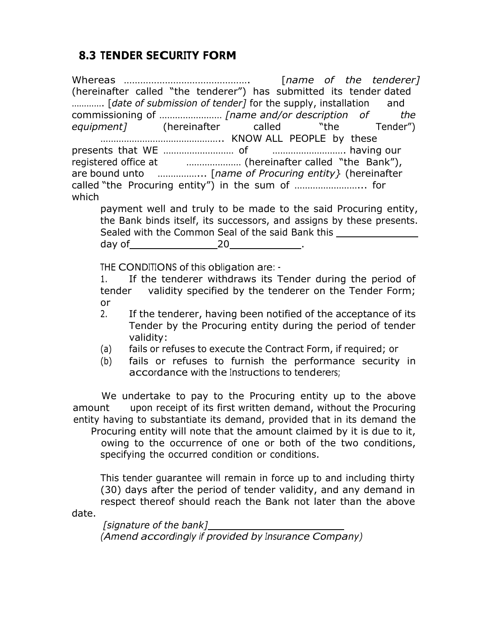## **8.3 TENDER SECURITY FORM**

Whereas ………………………………………. [*name of the tenderer]* (hereinafter called "the tenderer") has submitted its tender dated …………. [*date of submission of tender]* for the supply, installation and commissioning of …………………… *[name and/or description of the equipment]* (hereinafter called "the Tender") ……………………………………….. KNOW ALL PEOPLE by these presents that WE ……………………… of ………………………. having our registered office at ………………… (hereinafter called "the Bank"), are bound unto ……………... [*name of Procuring entity}* (hereinafter called "the Procuring entity") in the sum of ……………………... for which payment well and truly to be made to the said Procuring entity, the Bank binds itself, its successors, and assigns by these presents. Sealed with the Common Seal of the said Bank this day of 20 . THE CONDITIONS of this obligation are: - 1. If the tenderer withdraws its Tender during the period of tender validity specified by the tenderer on the Tender Form; or 2. If the tenderer, having been notified of the acceptance of its

- Tender by the Procuring entity during the period of tender validity:
- (a) fails or refuses to execute the Contract Form, if required; or
- (b) fails or refuses to furnish the performance security in accordance with the Instructions to tenderers;

We undertake to pay to the Procuring entity up to the above amount upon receipt of its first written demand, without the Procuring entity having to substantiate its demand, provided that in its demand the

Procuring entity will note that the amount claimed by it is due to it, owing to the occurrence of one or both of the two conditions, specifying the occurred condition or conditions.

This tender guarantee will remain in force up to and including thirty (30) days after the period of tender validity, and any demand in respect thereof should reach the Bank not later than the above

date.

*[signature of the bank] (Amend accordingly if provided by Insurance Company)*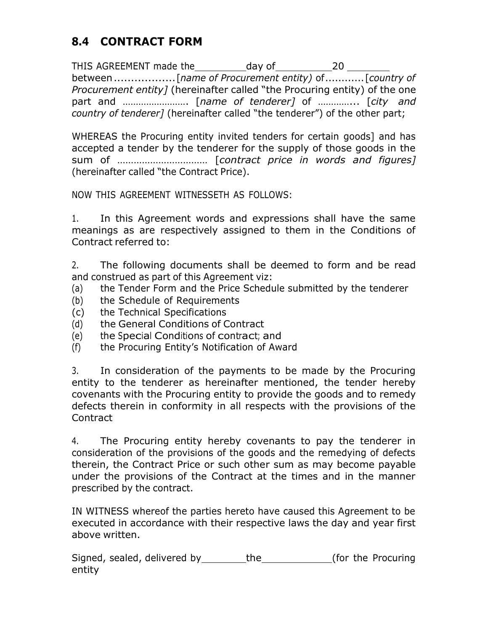## **8.4 CONTRACT FORM**

THIS AGREEMENT made the day of 20 between..................[*name of Procurement entity)* of............[*country of Procurement entity]* (hereinafter called "the Procuring entity) of the one part and ……………………. [*name of tenderer]* of …………... [*city and country of tenderer]* (hereinafter called "the tenderer") of the other part;

WHEREAS the Procuring entity invited tenders for certain goods] and has accepted a tender by the tenderer for the supply of those goods in the sum of …………………………… [*contract price in words and figures]* (hereinafter called "the Contract Price).

NOW THIS AGREEMENT WITNESSETH AS FOLLOWS:

1. In this Agreement words and expressions shall have the same meanings as are respectively assigned to them in the Conditions of Contract referred to:

2. The following documents shall be deemed to form and be read and construed as part of this Agreement viz:

- (a) the Tender Form and the Price Schedule submitted by the tenderer
- (b) the Schedule of Requirements
- (c) the Technical Specifications
- (d) the General Conditions of Contract
- (e) the Special Conditions of contract; and
- (f) the Procuring Entity's Notification of Award

3. In consideration of the payments to be made by the Procuring entity to the tenderer as hereinafter mentioned, the tender hereby covenants with the Procuring entity to provide the goods and to remedy defects therein in conformity in all respects with the provisions of the Contract

4. The Procuring entity hereby covenants to pay the tenderer in consideration of the provisions of the goods and the remedying of defects therein, the Contract Price or such other sum as may become payable under the provisions of the Contract at the times and in the manner prescribed by the contract.

IN WITNESS whereof the parties hereto have caused this Agreement to be executed in accordance with their respective laws the day and year first above written.

Signed, sealed, delivered by the the (for the Procuring entity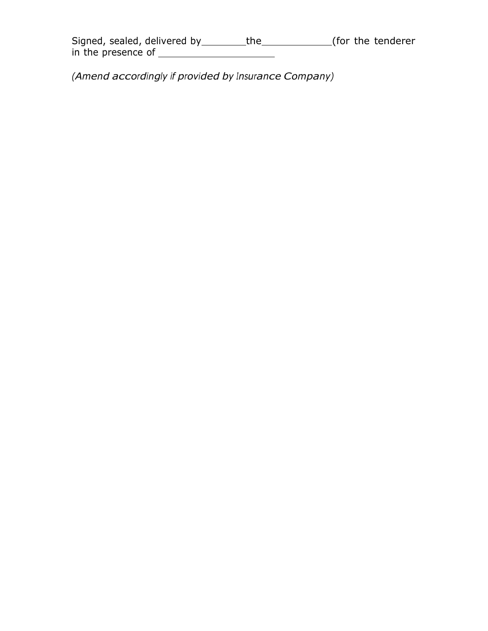| Signed, sealed, delivered by | the | (for the tenderer |
|------------------------------|-----|-------------------|
| in the presence of           |     |                   |

*(Amend accordingly if provided by Insurance Company)*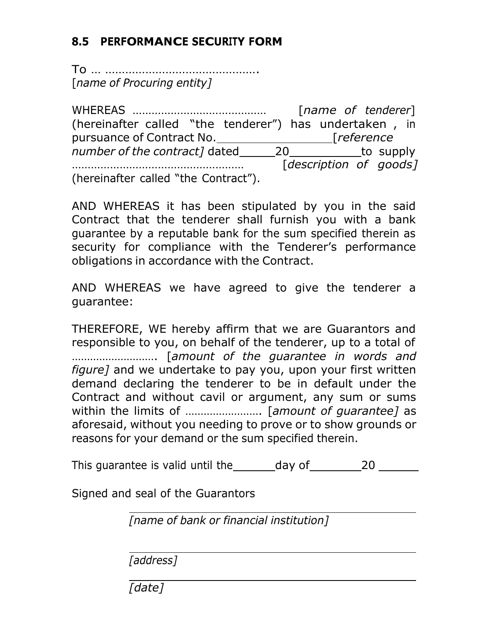## **8.5 PERFORMANCE SECURITY FORM**

To … ………………………………………. [*name of Procuring entity]*

WHEREAS …………………………………… [*name of tenderer*] (hereinafter called "the tenderer") has undertaken , in pursuance of Contract No. [*reference number of the contract]* dated \_\_\_\_\_\_\_\_\_\_\_\_\_\_\_\_\_\_\_\_\_\_\_\_\_\_\_\_to supply ……………………………………………… [*description of goods]* (hereinafter called "the Contract").

AND WHEREAS it has been stipulated by you in the said Contract that the tenderer shall furnish you with a bank guarantee by a reputable bank for the sum specified therein as security for compliance with the Tenderer's performance obligations in accordance with the Contract.

AND WHEREAS we have agreed to give the tenderer a guarantee:

THEREFORE, WE hereby affirm that we are Guarantors and responsible to you, on behalf of the tenderer, up to a total of ………………………. [*amount of the guarantee in words and figure]* and we undertake to pay you, upon your first written demand declaring the tenderer to be in default under the Contract and without cavil or argument, any sum or sums within the limits of ……………………. [*amount of guarantee]* as aforesaid, without you needing to prove or to show grounds or reasons for your demand or the sum specified therein.

This guarantee is valid until the day of 20

Signed and seal of the Guarantors

*[name of bank or financial institution]*

*[address]*

*[date]*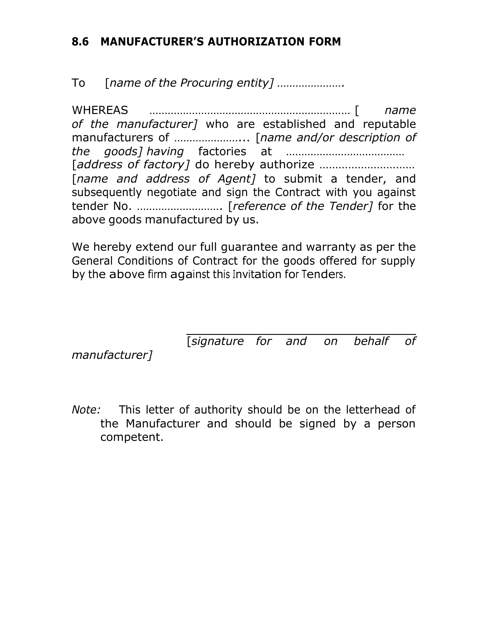## **8.6 MANUFACTURER'S AUTHORIZATION FORM**

To [*name of the Procuring entity] ………………….*

WHEREAS ………………………………………………………… [ *name of the manufacturer]* who are established and reputable manufacturers of …………………... [*name and/or description of the goods] having* factories at ………………………………… [*address of factory]* do hereby authorize ………………………… [*name and address of Agent]* to submit a tender, and subsequently negotiate and sign the Contract with you against tender No. ………………………. [*reference of the Tender]* for the above goods manufactured by us.

We hereby extend our full guarantee and warranty as per the General Conditions of Contract for the goods offered for supply by the above firm against this Invitation for Tenders.

[*signature for and on behalf of*

*manufacturer]*

*Note:* This letter of authority should be on the letterhead of the Manufacturer and should be signed by a person competent.